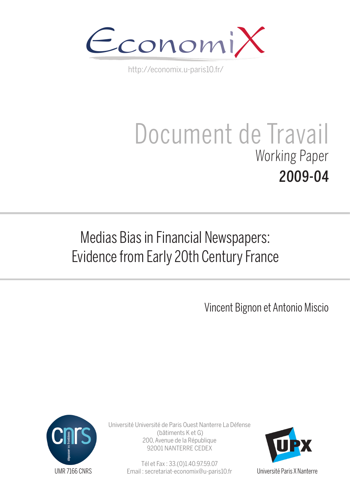

http://economix.u-paris10.fr/

# Document de Travail Working Paper 2009-04

# Medias Bias in Financial Newspapers: Evidence from Early 20th Century France

Vincent Bignon et Antonio Miscio



Université Université de Paris Ouest Nanterre La Défense (bâtiments K et G) 200, Avenue de la République 92001 NANTERRE CEDEX

> Tél et Fax : 33.(0)1.40.97.59.07 Email : secretariat-economix@u-paris10.fr



Université Paris X Nanterre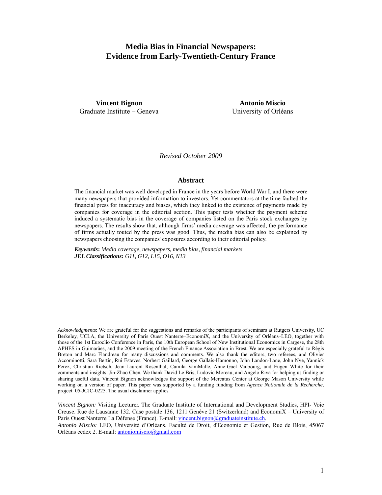### **Media Bias in Financial Newspapers: Evidence from Early-Twentieth-Century France**

**Vincent Bignon**  Graduate Institute – Geneva

**Antonio Miscio**  University of Orléans

*Revised October 2009* 

#### **Abstract**

The financial market was well developed in France in the years before World War I, and there were many newspapers that provided information to investors. Yet commentators at the time faulted the financial press for inaccuracy and biases, which they linked to the existence of payments made by companies for coverage in the editorial section. This paper tests whether the payment scheme induced a systematic bias in the coverage of companies listed on the Paris stock exchanges by newspapers. The results show that, although firms' media coverage was affected, the performance of firms actually touted by the press was good. Thus, the media bias can also be explained by newspapers choosing the companies' exposures according to their editorial policy.

*Keywords***:** *Media coverage, newspapers, media bias, financial markets JEL Classifications***:** *G11, G12, L15, O16, N13* 

*Acknowledgments*: We are grateful for the suggestions and remarks of the participants of seminars at Rutgers University, UC Berkeley, UCLA, the University of Paris Ouest Nanterre–EconomiX, and the University of Orléans–LEO, together with those of the 1st Euroclio Conference in Paris, the 10th European School of New Institutional Economics in Cargese, the 28th APHES in Guimarães, and the 2009 meeting of the French Finance Association in Brest. We are especially grateful to Régis Breton and Marc Flandreau for many discussions and comments. We also thank the editors, two referees, and Olivier Accominotti, Sara Bertin, Rui Esteves, Norbert Gaillard, George Gallais-Hamonno, John Landon-Lane, John Nye, Yannick Perez, Christian Rietsch, Jean-Laurent Rosenthal, Camila VamMalle, Anne-Gael Vaubourg, and Eugen White for their comments and insights. Jin-Zhao Chen, We thank David Le Bris, Ludovic Moreau, and Angelo Riva for helping us finding or sharing useful data. Vincent Bignon acknowledges the support of the Mercatus Center at George Mason University while working on a version of paper. This paper was supported by a funding funding from *Agence Nationale de la Recherche,* project 05-JCJC-0225. The usual disclaimer applies.

*Vincent Bignon:* Visiting Lecturer. The Graduate Institute of International and Development Studies, HPI- Voie Creuse. Rue de Lausanne 132. Case postale 136, 1211 Genève 21 (Switzerland) and EconomiX – University of Paris Ouest Nanterre La Défense (France). E-mail: vincent.bignon@graduateinstitute.ch.

*Antonio Miscio:* LEO, Université d'Orléans. Faculté de Droit, d'Economie et Gestion, Rue de Blois, 45067 Orléans cedex 2. E-mail: antoniomiscio@gmail.com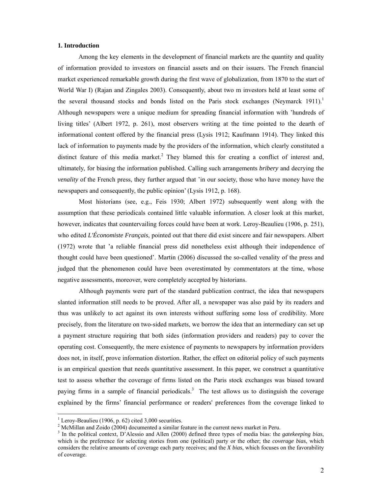#### **1. Introduction**

Among the key elements in the development of financial markets are the quantity and quality of information provided to investors on financial assets and on their issuers. The French financial market experienced remarkable growth during the first wave of globalization, from 1870 to the start of World War I) (Rajan and Zingales 2003). Consequently, about two m investors held at least some of the several thousand stocks and bonds listed on the Paris stock exchanges (Neymarck 1911).<sup>1</sup> Although newspapers were a unique medium for spreading financial information with 'hundreds of living titles' (Albert 1972, p. 261), most observers writing at the time pointed to the dearth of informational content offered by the financial press (Lysis 1912; Kaufmann 1914). They linked this lack of information to payments made by the providers of the information, which clearly constituted a distinct feature of this media market.<sup>2</sup> They blamed this for creating a conflict of interest and, ultimately, for biasing the information published. Calling such arrangements *bribery* and decrying the *venality* of the French press, they further argued that 'in our society, those who have money have the newspapers and consequently, the public opinion' (Lysis 1912, p. 168).

Most historians (see, e.g., Feis 1930; Albert 1972) subsequently went along with the assumption that these periodicals contained little valuable information. A closer look at this market, however, indicates that countervailing forces could have been at work. Leroy-Beaulieu (1906, p. 251), who edited *L'Économiste Français*, pointed out that there did exist sincere and fair newspapers. Albert (1972) wrote that 'a reliable financial press did nonetheless exist although their independence of thought could have been questioned'. Martin (2006) discussed the so-called venality of the press and judged that the phenomenon could have been overestimated by commentators at the time, whose negative assessments, moreover, were completely accepted by historians.

Although payments were part of the standard publication contract, the idea that newspapers slanted information still needs to be proved. After all, a newspaper was also paid by its readers and thus was unlikely to act against its own interests without suffering some loss of credibility. More precisely, from the literature on two-sided markets, we borrow the idea that an intermediary can set up a payment structure requiring that both sides (information providers and readers) pay to cover the operating cost. Consequently, the mere existence of payments to newspapers by information providers does not, in itself, prove information distortion. Rather, the effect on editorial policy of such payments is an empirical question that needs quantitative assessment. In this paper, we construct a quantitative test to assess whether the coverage of firms listed on the Paris stock exchanges was biased toward paying firms in a sample of financial periodicals.<sup>3</sup> The test allows us to distinguish the coverage explained by the firms' financial performance or readers' preferences from the coverage linked to

<sup>&</sup>lt;sup>1</sup> Leroy-Beaulieu (1906, p. 62) cited  $3,000$  securities.

<sup>&</sup>lt;sup>1</sup> Leroy-Beaulieu (1906, p. 62) cited 3,000 securities.<br><sup>2</sup> McMillan and Zoido (2004) documented a similar feature in the current news market in Peru.

<sup>&</sup>lt;sup>3</sup> In the political context, D'Alessio and Allen (2000) defined three types of media bias: the *gatekeeping bias*, which is the preference for selecting stories from one (political) party or the other; the *coverage bias*, which considers the relative amounts of coverage each party receives; and the *X bias*, which focuses on the favorability of coverage.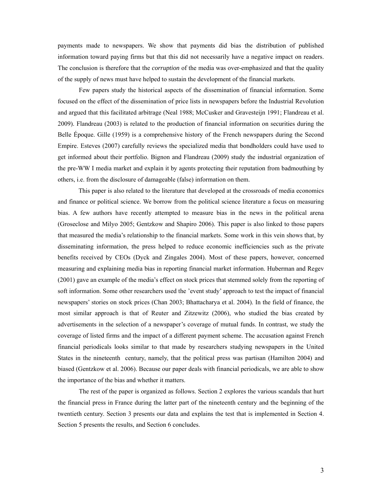payments made to newspapers. We show that payments did bias the distribution of published information toward paying firms but that this did not necessarily have a negative impact on readers. The conclusion is therefore that the *corruption* of the media was over-emphasized and that the quality of the supply of news must have helped to sustain the development of the financial markets.

Few papers study the historical aspects of the dissemination of financial information. Some focused on the effect of the dissemination of price lists in newspapers before the Industrial Revolution and argued that this facilitated arbitrage (Neal 1988; McCusker and Gravesteijn 1991; Flandreau et al. 2009). Flandreau (2003) is related to the production of financial information on securities during the Belle Époque. Gille (1959) is a comprehensive history of the French newspapers during the Second Empire. Esteves (2007) carefully reviews the specialized media that bondholders could have used to get informed about their portfolio. Bignon and Flandreau (2009) study the industrial organization of the pre-WW I media market and explain it by agents protecting their reputation from badmouthing by others, i.e. from the disclosure of damageable (false) information on them.

This paper is also related to the literature that developed at the crossroads of media economics and finance or political science. We borrow from the political science literature a focus on measuring bias. A few authors have recently attempted to measure bias in the news in the political arena (Groseclose and Milyo 2005; Gentzkow and Shapiro 2006). This paper is also linked to those papers that measured the media's relationship to the financial markets. Some work in this vein shows that, by disseminating information, the press helped to reduce economic inefficiencies such as the private benefits received by CEOs (Dyck and Zingales 2004). Most of these papers, however, concerned measuring and explaining media bias in reporting financial market information. Huberman and Regev (2001) gave an example of the media's effect on stock prices that stemmed solely from the reporting of soft information. Some other researchers used the 'event study' approach to test the impact of financial newspapers' stories on stock prices (Chan 2003; Bhattacharya et al. 2004). In the field of finance, the most similar approach is that of Reuter and Zitzewitz (2006), who studied the bias created by advertisements in the selection of a newspaper's coverage of mutual funds. In contrast, we study the coverage of listed firms and the impact of a different payment scheme. The accusation against French financial periodicals looks similar to that made by researchers studying newspapers in the United States in the nineteenth century, namely, that the political press was partisan (Hamilton 2004) and biased (Gentzkow et al. 2006). Because our paper deals with financial periodicals, we are able to show the importance of the bias and whether it matters.

The rest of the paper is organized as follows. Section 2 explores the various scandals that hurt the financial press in France during the latter part of the nineteenth century and the beginning of the twentieth century. Section 3 presents our data and explains the test that is implemented in Section 4. Section 5 presents the results, and Section 6 concludes.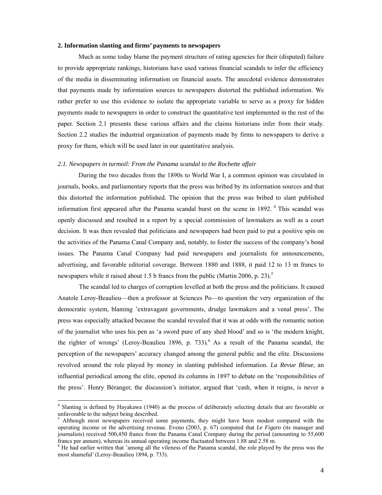#### **2. Information slanting and firms' payments to newspapers**

Much as some today blame the payment structure of rating agencies for their (disputed) failure to provide appropriate rankings, historians have used various financial scandals to infer the efficiency of the media in disseminating information on financial assets. The anecdotal evidence demonstrates that payments made by information sources to newspapers distorted the published information. We rather prefer to use this evidence to isolate the appropriate variable to serve as a proxy for hidden payments made to newspapers in order to construct the quantitative test implemented in the rest of the paper. Section 2.1 presents these various affairs and the claims historians infer from their study. Section 2.2 studies the industrial organization of payments made by firms to newspapers to derive a proxy for them, which will be used later in our quantitative analysis.

#### *2.1. Newspapers in turmoil: From the Panama scandal to the Rochette affair*

During the two decades from the 1890s to World War I, a common opinion was circulated in journals, books, and parliamentary reports that the press was bribed by its information sources and that this distorted the information published. The opinion that the press was bribed to slant published information first appeared after the Panama scandal burst on the scene in 1892. 4 This scandal was openly discussed and resulted in a report by a special commission of lawmakers as well as a court decision. It was then revealed that politicians and newspapers had been paid to put a positive spin on the activities of the Panama Canal Company and, notably, to foster the success of the company's bond issues. The Panama Canal Company had paid newspapers and journalists for announcements, advertising, and favorable editorial coverage. Between 1880 and 1888, it paid 12 to 13 m francs to newspapers while it raised about 1.5 b francs from the public (Martin 2006, p. 23).<sup>5</sup>

The scandal led to charges of corruption levelled at both the press and the politicians. It caused Anatole Leroy-Beaulieu—then a professor at Sciences Po—to question the very organization of the democratic system, blaming 'extravagant governments, drudge lawmakers and a venal press'. The press was especially attacked because the scandal revealed that it was at odds with the romantic notion of the journalist who uses his pen as 'a sword pure of any shed blood' and so is 'the modern knight, the righter of wrongs' (Leroy-Beaulieu 1896, p. 733).<sup>6</sup> As a result of the Panama scandal, the perception of the newspapers' accuracy changed among the general public and the elite. Discussions revolved around the role played by money in slanting published information. *La Revue Bleue*, an influential periodical among the elite, opened its columns in 1897 to debate on the 'responsibilities of the press'. Henry Béranger, the discussion's initiator, argued that 'cash, when it reigns, is never a

<sup>&</sup>lt;sup>4</sup> Slanting is defined by Hayakawa (1940) as the process of deliberately selecting details that are favorable or unfavorable to the subject being described.

<sup>&</sup>lt;sup>5</sup> Although most newspapers received some payments, they might have been modest compared with the operating income or the advertising revenue. Eveno (2003, p. 67) computed that *Le Figaro* (its manager and journalists) received 500,450 francs from the Panama Canal Company during the period (amounting to 55,600 francs per annum), whereas its annual operating income fluctuated between 1.88 and 2.58 m.

 $<sup>6</sup>$  He had earlier written that 'among all the vileness of the Panama scandal, the role played by the press was the</sup> most shameful' (Leroy-Beaulieu 1894, p. 733).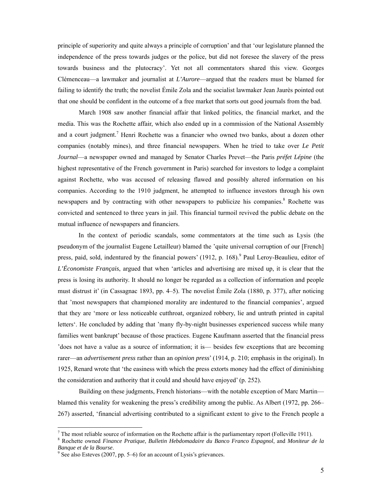principle of superiority and quite always a principle of corruption' and that 'our legislature planned the independence of the press towards judges or the police, but did not foresee the slavery of the press towards business and the plutocracy'. Yet not all commentators shared this view. Georges Clémenceau—a lawmaker and journalist at *L'Aurore*—argued that the readers must be blamed for failing to identify the truth; the novelist Émile Zola and the socialist lawmaker Jean Jaurès pointed out that one should be confident in the outcome of a free market that sorts out good journals from the bad.

March 1908 saw another financial affair that linked politics, the financial market, and the media. This was the Rochette affair, which also ended up in a commission of the National Assembly and a court judgment.<sup>7</sup> Henri Rochette was a financier who owned two banks, about a dozen other companies (notably mines), and three financial newspapers. When he tried to take over *Le Petit Journal*—a newspaper owned and managed by Senator Charles Prevet—the Paris *préfet Lépine* (the highest representative of the French government in Paris) searched for investors to lodge a complaint against Rochette, who was accused of releasing flawed and possibly altered information on his companies. According to the 1910 judgment, he attempted to influence investors through his own newspapers and by contracting with other newspapers to publicize his companies.<sup>8</sup> Rochette was convicted and sentenced to three years in jail. This financial turmoil revived the public debate on the mutual influence of newspapers and financiers.

In the context of periodic scandals, some commentators at the time such as Lysis (the pseudonym of the journalist Eugene Letailleur) blamed the 'quite universal corruption of our [French] press, paid, sold, indentured by the financial powers' (1912, p. 168).<sup>9</sup> Paul Leroy-Beaulieu, editor of *L'Économiste Français*, argued that when 'articles and advertising are mixed up, it is clear that the press is losing its authority. It should no longer be regarded as a collection of information and people must distrust it' (in Cassagnac 1893, pp. 4–5). The novelist Émile Zola (1880, p. 377), after noticing that 'most newspapers that championed morality are indentured to the financial companies', argued that they are 'more or less noticeable cutthroat, organized robbery, lie and untruth printed in capital letters'. He concluded by adding that 'many fly-by-night businesses experienced success while many families went bankrupt' because of those practices. Eugene Kaufmann asserted that the financial press 'does not have a value as a source of information; it is— besides few exceptions that are becoming rarer—an *advertisement press* rather than an *opinion press*' (1914, p. 210; emphasis in the original). In 1925, Renard wrote that 'the easiness with which the press extorts money had the effect of diminishing the consideration and authority that it could and should have enjoyed' (p. 252).

Building on these judgments, French historians—with the notable exception of Marc Martin blamed this venality for weakening the press's credibility among the public. As Albert (1972, pp. 266– 267) asserted, 'financial advertising contributed to a significant extent to give to the French people a

 $<sup>7</sup>$  The most reliable source of information on the Rochette affair is the parliamentary report (Folleville 1911).</sup>

<sup>8</sup> Rochette owned *Finance Pratique*, *Bulletin Hebdomadaire du Banco Franco Espagnol*, and *Moniteur de la*  **Banque et de la Bourse.** 

 $9^9$  See also Esteves (2007, pp. 5–6) for an account of Lysis's grievances.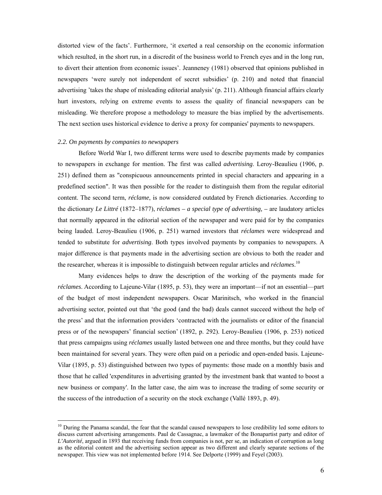distorted view of the facts'. Furthermore, 'it exerted a real censorship on the economic information which resulted, in the short run, in a discredit of the business world to French eyes and in the long run, to divert their attention from economic issues'. Jeanneney (1981) observed that opinions published in newspapers 'were surely not independent of secret subsidies' (p. 210) and noted that financial advertising 'takes the shape of misleading editorial analysis' (p. 211). Although financial affairs clearly hurt investors, relying on extreme events to assess the quality of financial newspapers can be misleading. We therefore propose a methodology to measure the bias implied by the advertisements. The next section uses historical evidence to derive a proxy for companies' payments to newspapers.

#### *2.2. On payments by companies to newspapers*

 $\overline{a}$ 

Before World War I, two different terms were used to describe payments made by companies to newspapers in exchange for mention. The first was called *advertising*. Leroy-Beaulieu (1906, p. 251) defined them as "conspicuous announcements printed in special characters and appearing in a predefined section". It was then possible for the reader to distinguish them from the regular editorial content. The second term, *réclame*, is now considered outdated by French dictionaries. According to the dictionary *Le Littré* (1872–1877), *réclames – a special type of advertising, –* are laudatory articles that normally appeared in the editorial section of the newspaper and were paid for by the companies being lauded. Leroy-Beaulieu (1906, p. 251) warned investors that *réclames* were widespread and tended to substitute for *advertising*. Both types involved payments by companies to newspapers. A major difference is that payments made in the advertising section are obvious to both the reader and the researcher, whereas it is impossible to distinguish between regular articles and *réclames*. 10

Many evidences helps to draw the description of the working of the payments made for *réclames*. According to Lajeune-Vilar (1895, p. 53), they were an important—if not an essential—part of the budget of most independent newspapers. Oscar Marinitsch, who worked in the financial advertising sector, pointed out that 'the good (and the bad) deals cannot succeed without the help of the press' and that the information providers 'contracted with the journalists or editor of the financial press or of the newspapers' financial section' (1892, p. 292). Leroy-Beaulieu (1906, p. 253) noticed that press campaigns using *réclames* usually lasted between one and three months, but they could have been maintained for several years. They were often paid on a periodic and open-ended basis. Lajeune-Vilar (1895, p. 53) distinguished between two types of payments: those made on a monthly basis and those that he called 'expenditures in advertising granted by the investment bank that wanted to boost a new business or company'. In the latter case, the aim was to increase the trading of some security or the success of the introduction of a security on the stock exchange (Vallé 1893, p. 49).

<sup>&</sup>lt;sup>10</sup> During the Panama scandal, the fear that the scandal caused newspapers to lose credibility led some editors to discuss current advertising arrangements. Paul de Cassagnac, a lawmaker of the Bonapartist party and editor of *L'Autorité*, argued in 1893 that receiving funds from companies is not, per se, an indication of corruption as long as the editorial content and the advertising section appear as two different and clearly separate sections of the newspaper. This view was not implemented before 1914. See Delporte (1999) and Feyel (2003).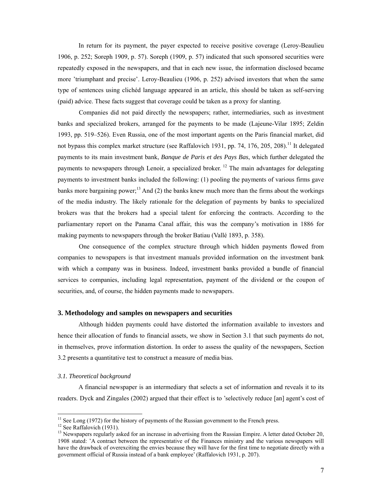In return for its payment, the payer expected to receive positive coverage (Leroy-Beaulieu 1906, p. 252; Soreph 1909, p. 57). Soreph (1909, p. 57) indicated that such sponsored securities were repeatedly exposed in the newspapers, and that in each new issue, the information disclosed became more 'triumphant and precise'. Leroy-Beaulieu (1906, p. 252) advised investors that when the same type of sentences using clichéd language appeared in an article, this should be taken as self-serving (paid) advice. These facts suggest that coverage could be taken as a proxy for slanting.

Companies did not paid directly the newspapers; rather, intermediaries, such as investment banks and specialized brokers, arranged for the payments to be made (Lajeune-Vilar 1895; Zeldin 1993, pp. 519–526). Even Russia, one of the most important agents on the Paris financial market, did not bypass this complex market structure (see Raffalovich 1931, pp. 74, 176, 205, 208).<sup>11</sup> It delegated payments to its main investment bank, *Banque de Paris et des Pays Bas*, which further delegated the payments to newspapers through Lenoir, a specialized broker.<sup>12</sup> The main advantages for delegating payments to investment banks included the following: (1) pooling the payments of various firms gave banks more bargaining power;<sup>13</sup> And (2) the banks knew much more than the firms about the workings of the media industry. The likely rationale for the delegation of payments by banks to specialized brokers was that the brokers had a special talent for enforcing the contracts. According to the parliamentary report on the Panama Canal affair, this was the company's motivation in 1886 for making payments to newspapers through the broker Batiau (Vallé 1893, p. 358).

One consequence of the complex structure through which hidden payments flowed from companies to newspapers is that investment manuals provided information on the investment bank with which a company was in business. Indeed, investment banks provided a bundle of financial services to companies, including legal representation, payment of the dividend or the coupon of securities, and, of course, the hidden payments made to newspapers.

#### **3. Methodology and samples on newspapers and securities**

Although hidden payments could have distorted the information available to investors and hence their allocation of funds to financial assets, we show in Section 3.1 that such payments do not, in themselves, prove information distortion. In order to assess the quality of the newspapers, Section 3.2 presents a quantitative test to construct a measure of media bias.

#### *3.1. Theoretical background*

A financial newspaper is an intermediary that selects a set of information and reveals it to its readers. Dyck and Zingales (2002) argued that their effect is to 'selectively reduce [an] agent's cost of

 $11$  See Long (1972) for the history of payments of the Russian government to the French press.

<sup>&</sup>lt;sup>12</sup> See Raffalovich (1931).

<sup>&</sup>lt;sup>13</sup> Newspapers regularly asked for an increase in advertising from the Russian Empire. A letter dated October 20, 1908 stated: 'A contract between the representative of the Finances ministry and the various newspapers will have the drawback of overexciting the envies because they will have for the first time to negotiate directly with a government official of Russia instead of a bank employee' (Raffalovich 1931, p. 207).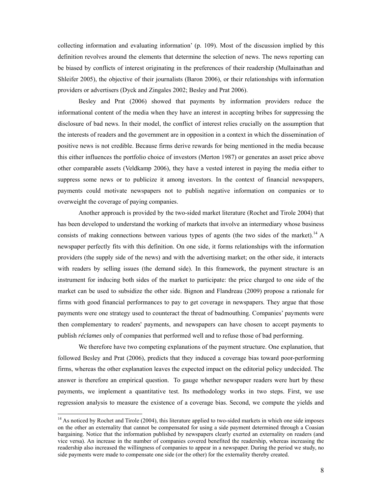collecting information and evaluating information' (p. 109). Most of the discussion implied by this definition revolves around the elements that determine the selection of news. The news reporting can be biased by conflicts of interest originating in the preferences of their readership (Mullainathan and Shleifer 2005), the objective of their journalists (Baron 2006), or their relationships with information providers or advertisers (Dyck and Zingales 2002; Besley and Prat 2006).

Besley and Prat (2006) showed that payments by information providers reduce the informational content of the media when they have an interest in accepting bribes for suppressing the disclosure of bad news. In their model, the conflict of interest relies crucially on the assumption that the interests of readers and the government are in opposition in a context in which the dissemination of positive news is not credible. Because firms derive rewards for being mentioned in the media because this either influences the portfolio choice of investors (Merton 1987) or generates an asset price above other comparable assets (Veldkamp 2006), they have a vested interest in paying the media either to suppress some news or to publicize it among investors. In the context of financial newspapers, payments could motivate newspapers not to publish negative information on companies or to overweight the coverage of paying companies.

Another approach is provided by the two-sided market literature (Rochet and Tirole 2004) that has been developed to understand the working of markets that involve an intermediary whose business consists of making connections between various types of agents (the two sides of the market).<sup>14</sup> A newspaper perfectly fits with this definition. On one side, it forms relationships with the information providers (the supply side of the news) and with the advertising market; on the other side, it interacts with readers by selling issues (the demand side). In this framework, the payment structure is an instrument for inducing both sides of the market to participate: the price charged to one side of the market can be used to subsidize the other side. Bignon and Flandreau (2009) propose a rationale for firms with good financial performances to pay to get coverage in newspapers. They argue that those payments were one strategy used to counteract the threat of badmouthing. Companies' payments were then complementary to readers' payments, and newspapers can have chosen to accept payments to publish *réclames* only of companies that performed well and to refuse those of bad performing.

We therefore have two competing explanations of the payment structure. One explanation, that followed Besley and Prat (2006), predicts that they induced a coverage bias toward poor-performing firms, whereas the other explanation leaves the expected impact on the editorial policy undecided. The answer is therefore an empirical question. To gauge whether newspaper readers were hurt by these payments, we implement a quantitative test. Its methodology works in two steps. First, we use regression analysis to measure the existence of a coverage bias. Second, we compute the yields and

<sup>&</sup>lt;sup>14</sup> As noticed by Rochet and Tirole (2004), this literature applied to two-sided markets in which one side imposes on the other an externality that cannot be compensated for using a side payment determined through a Coasian bargaining. Notice that the information published by newspapers clearly exerted an externality on readers (and vice versa). An increase in the number of companies covered benefited the readership, whereas increasing the readership also increased the willingness of companies to appear in a newspaper. During the period we study, no side payments were made to compensate one side (or the other) for the externality thereby created.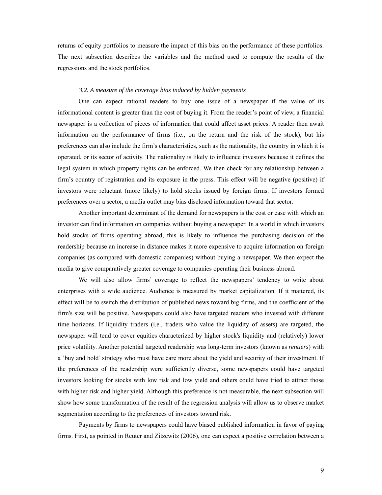returns of equity portfolios to measure the impact of this bias on the performance of these portfolios. The next subsection describes the variables and the method used to compute the results of the regressions and the stock portfolios.

#### *3.2. A measure of the coverage bias induced by hidden payments*

One can expect rational readers to buy one issue of a newspaper if the value of its informational content is greater than the cost of buying it. From the reader's point of view, a financial newspaper is a collection of pieces of information that could affect asset prices. A reader then await information on the performance of firms (i.e., on the return and the risk of the stock), but his preferences can also include the firm's characteristics, such as the nationality, the country in which it is operated, or its sector of activity. The nationality is likely to influence investors because it defines the legal system in which property rights can be enforced. We then check for any relationship between a firm's country of registration and its exposure in the press. This effect will be negative (positive) if investors were reluctant (more likely) to hold stocks issued by foreign firms. If investors formed preferences over a sector, a media outlet may bias disclosed information toward that sector.

Another important determinant of the demand for newspapers is the cost or ease with which an investor can find information on companies without buying a newspaper. In a world in which investors hold stocks of firms operating abroad, this is likely to influence the purchasing decision of the readership because an increase in distance makes it more expensive to acquire information on foreign companies (as compared with domestic companies) without buying a newspaper. We then expect the media to give comparatively greater coverage to companies operating their business abroad.

We will also allow firms' coverage to reflect the newspapers' tendency to write about enterprises with a wide audience. Audience is measured by market capitalization. If it mattered, its effect will be to switch the distribution of published news toward big firms, and the coefficient of the firm's size will be positive. Newspapers could also have targeted readers who invested with different time horizons. If liquidity traders (i.e., traders who value the liquidity of assets) are targeted, the newspaper will tend to cover equities characterized by higher stock's liquidity and (relatively) lower price volatility. Another potential targeted readership was long-term investors (known as *rentiers*) with a 'buy and hold' strategy who must have care more about the yield and security of their investment. If the preferences of the readership were sufficiently diverse, some newspapers could have targeted investors looking for stocks with low risk and low yield and others could have tried to attract those with higher risk and higher yield. Although this preference is not measurable, the next subsection will show how some transformation of the result of the regression analysis will allow us to observe market segmentation according to the preferences of investors toward risk.

Payments by firms to newspapers could have biased published information in favor of paying firms. First, as pointed in Reuter and Zitzewitz (2006), one can expect a positive correlation between a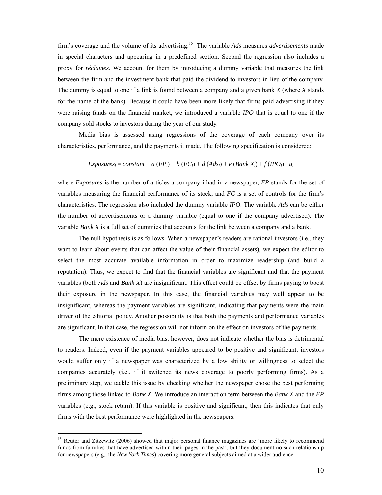firm's coverage and the volume of its advertising.15 The variable *Ads* measures *advertisements* made in special characters and appearing in a predefined section. Second the regression also includes a proxy for *réclames*. We account for them by introducing a dummy variable that measures the link between the firm and the investment bank that paid the dividend to investors in lieu of the company. The dummy is equal to one if a link is found between a company and a given bank *X* (where *X* stands for the name of the bank). Because it could have been more likely that firms paid advertising if they were raising funds on the financial market, we introduced a variable *IPO* that is equal to one if the company sold stocks to investors during the year of our study.

Media bias is assessed using regressions of the coverage of each company over its characteristics, performance, and the payments it made. The following specification is considered:

#### $Exposures_i = constant + a (FP_i) + b (FC_i) + d (Ads_i) + e (Bank X_i) + f (IPO_i) + u_i$

where *Exposures* is the number of articles a company i had in a newspaper, *FP* stands for the set of variables measuring the financial performance of its stock, and *FC* is a set of controls for the firm's characteristics. The regression also included the dummy variable *IPO*. The variable *Ads* can be either the number of advertisements or a dummy variable (equal to one if the company advertised). The variable *Bank X* is a full set of dummies that accounts for the link between a company and a bank.

The null hypothesis is as follows. When a newspaper's readers are rational investors (i.e., they want to learn about events that can affect the value of their financial assets), we expect the editor to select the most accurate available information in order to maximize readership (and build a reputation). Thus, we expect to find that the financial variables are significant and that the payment variables (both *Ads* and *Bank X*) are insignificant. This effect could be offset by firms paying to boost their exposure in the newspaper. In this case, the financial variables may well appear to be insignificant, whereas the payment variables are significant, indicating that payments were the main driver of the editorial policy. Another possibility is that both the payments and performance variables are significant. In that case, the regression will not inform on the effect on investors of the payments.

The mere existence of media bias, however, does not indicate whether the bias is detrimental to readers. Indeed, even if the payment variables appeared to be positive and significant, investors would suffer only if a newspaper was characterized by a low ability or willingness to select the companies accurately (i.e., if it switched its news coverage to poorly performing firms). As a preliminary step, we tackle this issue by checking whether the newspaper chose the best performing firms among those linked to *Bank X*. We introduce an interaction term between the *Bank X* and the *FP* variables (e.g., stock return). If this variable is positive and significant, then this indicates that only firms with the best performance were highlighted in the newspapers.

<sup>&</sup>lt;sup>15</sup> Reuter and Zitzewitz (2006) showed that major personal finance magazines are 'more likely to recommend funds from families that have advertised within their pages in the past', but they document no such relationship for newspapers (e.g., the *New York Times*) covering more general subjects aimed at a wider audience.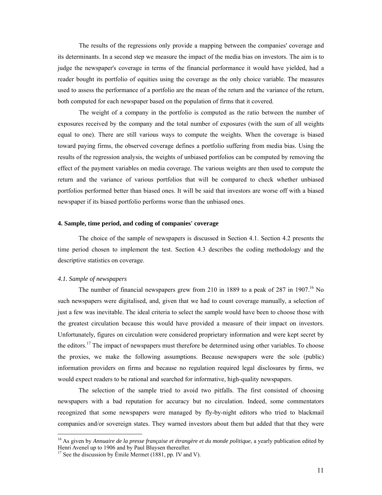The results of the regressions only provide a mapping between the companies' coverage and its determinants. In a second step we measure the impact of the media bias on investors. The aim is to judge the newspaper's coverage in terms of the financial performance it would have yielded, had a reader bought its portfolio of equities using the coverage as the only choice variable. The measures used to assess the performance of a portfolio are the mean of the return and the variance of the return, both computed for each newspaper based on the population of firms that it covered.

The weight of a company in the portfolio is computed as the ratio between the number of exposures received by the company and the total number of exposures (with the sum of all weights equal to one). There are still various ways to compute the weights. When the coverage is biased toward paying firms, the observed coverage defines a portfolio suffering from media bias. Using the results of the regression analysis, the weights of unbiased portfolios can be computed by removing the effect of the payment variables on media coverage. The various weights are then used to compute the return and the variance of various portfolios that will be compared to check whether unbiased portfolios performed better than biased ones. It will be said that investors are worse off with a biased newspaper if its biased portfolio performs worse than the unbiased ones.

#### **4. Sample, time period, and coding of companies' coverage**

The choice of the sample of newspapers is discussed in Section 4.1. Section 4.2 presents the time period chosen to implement the test. Section 4.3 describes the coding methodology and the descriptive statistics on coverage.

#### *4.1. Sample of newspapers*

 $\overline{a}$ 

The number of financial newspapers grew from 210 in 1889 to a peak of 287 in 1907.<sup>16</sup> No such newspapers were digitalised, and, given that we had to count coverage manually, a selection of just a few was inevitable. The ideal criteria to select the sample would have been to choose those with the greatest circulation because this would have provided a measure of their impact on investors. Unfortunately, figures on circulation were considered proprietary information and were kept secret by the editors.17 The impact of newspapers must therefore be determined using other variables. To choose the proxies, we make the following assumptions. Because newspapers were the sole (public) information providers on firms and because no regulation required legal disclosures by firms, we would expect readers to be rational and searched for informative, high-quality newspapers.

The selection of the sample tried to avoid two pitfalls. The first consisted of choosing newspapers with a bad reputation for accuracy but no circulation. Indeed, some commentators recognized that some newspapers were managed by fly-by-night editors who tried to blackmail companies and/or sovereign states. They warned investors about them but added that that they were

<sup>&</sup>lt;sup>16</sup> As given by *Annuaire de la presse française et étrangère et du monde politique*, a yearly publication edited by Henri Avenel up to 1906 and by Paul Bluysen thereafter.

<sup>&</sup>lt;sup>17</sup> See the discussion by Émile Mermet (1881, pp. IV and V).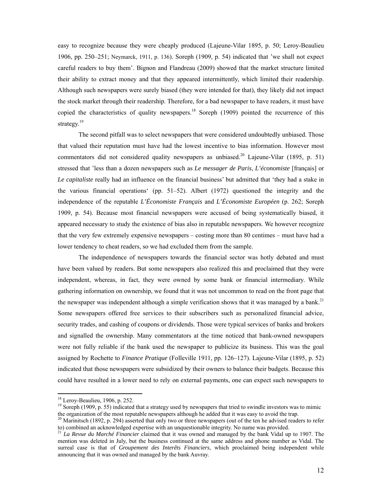easy to recognize because they were cheaply produced (Lajeune-Vilar 1895, p. 50; Leroy-Beaulieu 1906, pp. 250–251; Neymarck, 1911, p. 136). Soreph (1909, p. 54) indicated that 'we shall not expect careful readers to buy them'. Bignon and Flandreau (2009) showed that the market structure limited their ability to extract money and that they appeared intermittently, which limited their readership. Although such newspapers were surely biased (they were intended for that), they likely did not impact the stock market through their readership. Therefore, for a bad newspaper to have readers, it must have copied the characteristics of quality newspapers.<sup>18</sup> Soreph (1909) pointed the recurrence of this strategy.<sup>19</sup>

The second pitfall was to select newspapers that were considered undoubtedly unbiased. Those that valued their reputation must have had the lowest incentive to bias information. However most commentators did not considered quality newspapers as unbiased.<sup>20</sup> Lajeune-Vilar (1895, p. 51) stressed that 'less than a dozen newspapers such as *Le messager de Paris*, *L'économiste* [français] or *Le capitaliste* really had an influence on the financial business' but admitted that 'they had a stake in the various financial operations' (pp. 51–52). Albert (1972) questioned the integrity and the independence of the reputable *L'Économiste Français* and *L'Économiste Européen* (p. 262; Soreph 1909, p. 54). Because most financial newspapers were accused of being systematically biased, it appeared necessary to study the existence of bias also in reputable newspapers. We however recognize that the very few extremely expensive newspapers – costing more than 80 centimes – must have had a lower tendency to cheat readers, so we had excluded them from the sample.

The independence of newspapers towards the financial sector was hotly debated and must have been valued by readers. But some newspapers also realized this and proclaimed that they were independent, whereas, in fact, they were owned by some bank or financial intermediary. While gathering information on ownership, we found that it was not uncommon to read on the front page that the newspaper was independent although a simple verification shows that it was managed by a bank.<sup>21</sup> Some newspapers offered free services to their subscribers such as personalized financial advice, security trades, and cashing of coupons or dividends. Those were typical services of banks and brokers and signalled the ownership. Many commentators at the time noticed that bank-owned newspapers were not fully reliable if the bank used the newspaper to publicize its business. This was the goal assigned by Rochette to *Finance Pratique* (Folleville 1911, pp. 126–127). Lajeune-Vilar (1895, p. 52) indicated that those newspapers were subsidized by their owners to balance their budgets. Because this could have resulted in a lower need to rely on external payments, one can expect such newspapers to

 $\overline{a}$ 

<sup>19</sup> Soreph (1909, p. 55) indicated that a strategy used by newspapers that tried to swindle investors was to mimic the organization of the most reputable newspapers although he added that it was easy to avoid the trap.

<sup>&</sup>lt;sup>18</sup> Leroy-Beaulieu, 1906, p. 252.

<sup>&</sup>lt;sup>20</sup> Marinitsch (1892, p. 294) asserted that only two or three newspapers (out of the ten he advised readers to refer to) combined an acknowledged expertise with an unquestionable integrity. No name was provided.

<sup>&</sup>lt;sup>21</sup> La Revue du Marché Financier claimed that it was owned and managed by the bank Vidal up to 1907. The mention was deleted in July, but the business continued at the same address and phone number as Vidal. The surreal case is that of *Groupement des Interêts Financiers*, which proclaimed being independent while announcing that it was owned and managed by the bank Auvray.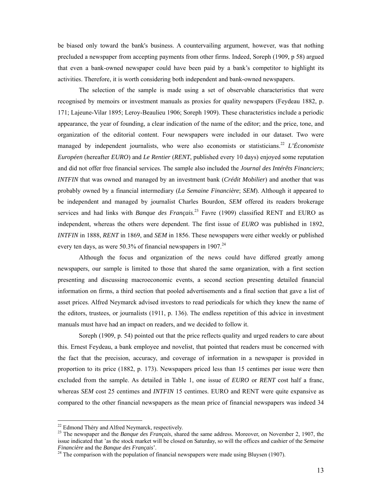be biased only toward the bank's business. A countervailing argument, however, was that nothing precluded a newspaper from accepting payments from other firms. Indeed, Soreph (1909, p 58) argued that even a bank-owned newspaper could have been paid by a bank's competitor to highlight its activities. Therefore, it is worth considering both independent and bank-owned newspapers.

The selection of the sample is made using a set of observable characteristics that were recognised by memoirs or investment manuals as proxies for quality newspapers (Feydeau 1882, p. 171; Lajeune-Vilar 1895; Leroy-Beaulieu 1906; Soreph 1909). These characteristics include a periodic appearance, the year of founding, a clear indication of the name of the editor; and the price, tone, and organization of the editorial content. Four newspapers were included in our dataset. Two were managed by independent journalists, who were also economists or statisticians.<sup>22</sup> *L'Économiste Européen* (hereafter *EURO*) and *Le Rentier* (*RENT*, published every 10 days) enjoyed some reputation and did not offer free financial services. The sample also included the *Journal des Intérêts Financiers*; *INTFIN* that was owned and managed by an investment bank (*Crédit Mobilier*) and another that was probably owned by a financial intermediary (*La Semaine Financière*; *SEM*). Although it appeared to be independent and managed by journalist Charles Bourdon, *SEM* offered its readers brokerage services and had links with *Banque des Français*. 23 Favre (1909) classified RENT and EURO as independent, whereas the others were dependent. The first issue of *EURO* was published in 1892, *INTFIN* in 1888, *RENT* in 1869, and *SEM* in 1856. These newspapers were either weekly or published every ten days, as were 50.3% of financial newspapers in  $1907<sup>24</sup>$ 

Although the focus and organization of the news could have differed greatly among newspapers, our sample is limited to those that shared the same organization, with a first section presenting and discussing macroeconomic events, a second section presenting detailed financial information on firms, a third section that pooled advertisements and a final section that gave a list of asset prices. Alfred Neymarck advised investors to read periodicals for which they knew the name of the editors, trustees, or journalists (1911, p. 136). The endless repetition of this advice in investment manuals must have had an impact on readers, and we decided to follow it.

Soreph (1909, p. 54) pointed out that the price reflects quality and urged readers to care about this. Ernest Feydeau, a bank employee and novelist, that pointed that readers must be concerned with the fact that the precision, accuracy, and coverage of information in a newspaper is provided in proportion to its price (1882, p. 173). Newspapers priced less than 15 centimes per issue were then excluded from the sample. As detailed in Table 1, one issue of *EURO* or *RENT* cost half a franc, whereas *SEM* cost 25 centimes and *INTFIN* 15 centimes. EURO and RENT were quite expansive as compared to the other financial newspapers as the mean price of financial newspapers was indeed 34

 $22$  Edmond Théry and Alfred Neymarck, respectively.

<sup>&</sup>lt;sup>23</sup> The newspaper and the *Banque des Français*, shared the same address. Moreover, on November 2, 1907, the issue indicated that 'as the stock market will be closed on Saturday, so will the offices and cashier of the *Semaine Financière* and the *Banque des Français*'. <sup>24</sup> The comparison with the population of financial newspapers were made using Bluysen (1907).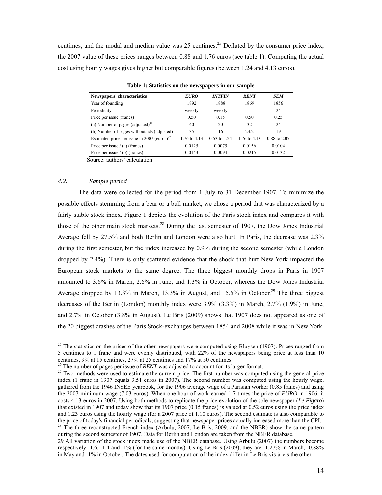centimes, and the modal and median value was  $25$  centimes.<sup>25</sup> Deflated by the consumer price index, the 2007 value of these prices ranges between 0.88 and 1.76 euros (see table 1). Computing the actual cost using hourly wages gives higher but comparable figures (between 1.24 and 4.13 euros).

| Newspapers' characteristics                             | <b>EURO</b>  | <b>INTFIN</b> | <b>RENT</b>  | <b>SEM</b>   |
|---------------------------------------------------------|--------------|---------------|--------------|--------------|
| Year of founding                                        | 1892         | 1888          | 1869         | 1856         |
| Periodicity                                             | weekly       | weekly        |              | 24           |
| Price per issue (francs)                                | 0.50         | 0.15          | 0.50         | 0.25         |
| (a) Number of pages (adjusted) <sup>26</sup>            | 40           | 20            | 32           | 24           |
| (b) Number of pages without ads (adjusted)              | 35           | 16            | 23.2         | 19           |
| Estimated price per issue in 2007 (euros) <sup>27</sup> | 1.76 to 4.13 | 0.53 to 1.24  | 1.76 to 4.13 | 0.88 to 2.07 |
| Price per issue $/(a)$ (francs)                         | 0.0125       | 0.0075        | 0.0156       | 0.0104       |
| Price per issue $/$ (b) (francs)                        | 0.0143       | 0.0094        | 0.0215       | 0.0132       |

**Table 1: Statistics on the newspapers in our sample** 

Source: authors' calculation

#### *4.2. Sample period*

 $\overline{a}$ 

The data were collected for the period from 1 July to 31 December 1907. To minimize the possible effects stemming from a bear or a bull market, we chose a period that was characterized by a fairly stable stock index. Figure 1 depicts the evolution of the Paris stock index and compares it with those of the other main stock markets.<sup>28</sup> During the last semester of 1907, the Dow Jones Industrial Average fell by 27.5% and both Berlin and London were also hurt. In Paris, the decrease was 2.3% during the first semester, but the index increased by 0.9% during the second semester (while London dropped by 2.4%). There is only scattered evidence that the shock that hurt New York impacted the European stock markets to the same degree. The three biggest monthly drops in Paris in 1907 amounted to 3.6% in March, 2.6% in June, and 1.3% in October, whereas the Dow Jones Industrial Average dropped by 13.3% in March, 13.3% in August, and 15.5% in October.<sup>29</sup> The three biggest decreases of the Berlin (London) monthly index were 3.9% (3.3%) in March, 2.7% (1.9%) in June, and 2.7% in October (3.8% in August). Le Bris (2009) shows that 1907 does not appeared as one of the 20 biggest crashes of the Paris Stock-exchanges between 1854 and 2008 while it was in New York.

 $^{25}$  The statistics on the prices of the other newspapers were computed using Bluysen (1907). Prices ranged from 5 centimes to 1 franc and were evenly distributed, with 22% of the newspapers being price at less than 10 centimes, 9% at 15 centimes, 27% at 25 centimes and 17% at 50 centimes.<br><sup>26</sup> The number of pages per issue of *RENT* was adjusted to account for its larger format.

<sup>&</sup>lt;sup>27</sup> Two methods were used to estimate the current price. The first number was computed using the general price index (1 franc in 1907 equals 3.51 euros in 2007). The second number was computed using the hourly wage, gathered from the 1946 INSEE yearbook, for the 1906 average wage of a Parisian worker (0.85 francs) and using the 2007 minimum wage (7.03 euros). When one hour of work earned 1.7 times the price of *EURO* in 1906, it costs 4.13 euros in 2007. Using both methods to replicate the price evolution of the sole newspaper (*Le Figaro*) that existed in 1907 and today show that its 1907 price (0.15 francs) is valued at 0.52 euros using the price index and 1.23 euros using the hourly wage (for a 2007 price of 1.10 euros). The second estimate is also comparable to the price of today's financial periodicals, suggesting that newspaper prices actually increased more than the CPI.

 $^{28}$  The three reconstructed French index (Arbulu, 2007, Le Bris, 2009, and the NBER) show the same pattern during the second semester of 1907. Data for Berlin and London are taken from the NBER database.

<sup>29</sup> All variation of the stock index made use of the NBER database. Using Arbulu (2007) the numbers become respectively -1.6, -1.4 and -1% (for the same months). Using Le Bris (2009), they are -1.27% in March, -0.88% in May and -1% in October. The dates used for computation of the index differ in Le Bris vis-à-vis the other.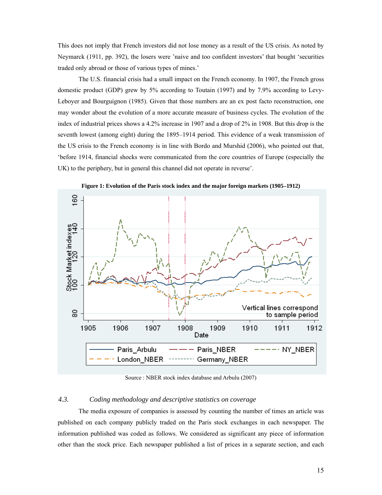This does not imply that French investors did not lose money as a result of the US crisis. As noted by Neymarck (1911, pp. 392), the losers were 'naive and too confident investors' that bought 'securities traded only abroad or those of various types of mines.'

The U.S. financial crisis had a small impact on the French economy. In 1907, the French gross domestic product (GDP) grew by 5% according to Toutain (1997) and by 7.9% according to Levy-Leboyer and Bourguignon (1985). Given that those numbers are an ex post facto reconstruction, one may wonder about the evolution of a more accurate measure of business cycles. The evolution of the index of industrial prices shows a 4.2% increase in 1907 and a drop of 2% in 1908. But this drop is the seventh lowest (among eight) during the 1895–1914 period. This evidence of a weak transmission of the US crisis to the French economy is in line with Bordo and Murshid (2006), who pointed out that, 'before 1914, financial shocks were communicated from the core countries of Europe (especially the UK) to the periphery, but in general this channel did not operate in reverse'.



**Figure 1: Evolution of the Paris stock index and the major foreign markets (1905–1912)** 

Source : NBER stock index database and Arbulu (2007)

#### *4.3. Coding methodology and descriptive statistics on coverage*

The media exposure of companies is assessed by counting the number of times an article was published on each company publicly traded on the Paris stock exchanges in each newspaper. The information published was coded as follows. We considered as significant any piece of information other than the stock price. Each newspaper published a list of prices in a separate section, and each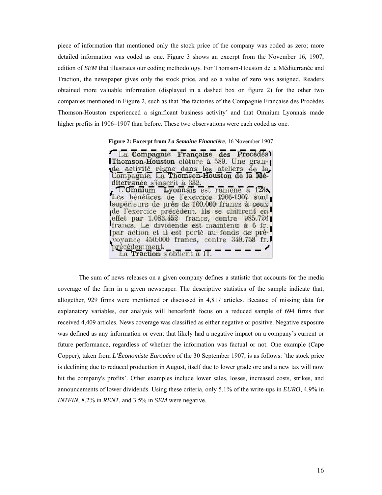piece of information that mentioned only the stock price of the company was coded as zero; more detailed information was coded as one. Figure 3 shows an excerpt from the November 16, 1907, edition of *SEM* that illustrates our coding methodology. For Thomson-Houston de la Méditerranée and Traction, the newspaper gives only the stock price, and so a value of zero was assigned. Readers obtained more valuable information (displayed in a dashed box on figure 2) for the other two companies mentioned in Figure 2, such as that 'the factories of the Compagnie Française des Procédés Thomson-Houston experienced a significant business activity' and that Omnium Lyonnais made higher profits in 1906–1907 than before. These two observations were each coded as one.

**Figure 2: Excerpt from** *La Semaine Financière*, 16 November 1907

The sum of news releases on a given company defines a statistic that accounts for the media coverage of the firm in a given newspaper. The descriptive statistics of the sample indicate that, altogether, 929 firms were mentioned or discussed in 4,817 articles. Because of missing data for explanatory variables, our analysis will henceforth focus on a reduced sample of 694 firms that received 4,409 articles. News coverage was classified as either negative or positive. Negative exposure was defined as any information or event that likely had a negative impact on a company's current or future performance, regardless of whether the information was factual or not. One example (Cape Copper), taken from *L'Économiste Européen* of the 30 September 1907, is as follows: 'the stock price is declining due to reduced production in August, itself due to lower grade ore and a new tax will now hit the company's profits'. Other examples include lower sales, losses, increased costs, strikes, and announcements of lower dividends. Using these criteria, only 5.1% of the write-ups in *EURO*, 4.9% in *INTFIN*, 8.2% in *RENT*, and 3.5% in *SEM* were negative.

La Compagnie Française des Procédés Thomson-Houston clôture à 589. Une grande activité règne dans les ateliers de la Compagnie. La Thomson-Houston de la Méditerranée s'inscrit à 332.<br>L'Omnium Lyonnais est ramené à 128. Les bénéfices de l'exercice 1906-1907 sont supérieurs de près de 100.000 francs à ceux de l'exercice précédent. Ils se chiffrent en effet par 1.083.452 francs, contre 985.726 francs. Le dividende est maintenu à 6 fr.<br>par action et il est porté au fonds de prévoyance 450.000 francs, contre 349.758 fr.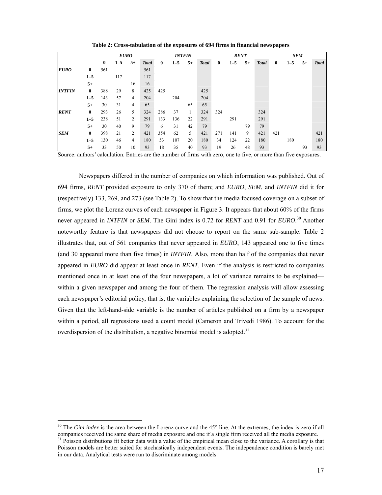|               |          |          | <b>EURO</b> |      |              |          | <b>INTFIN</b> |      |              |          | <b>RENT</b> |      |              | <b>SEM</b> |         |      |              |
|---------------|----------|----------|-------------|------|--------------|----------|---------------|------|--------------|----------|-------------|------|--------------|------------|---------|------|--------------|
|               |          | $\bf{0}$ | $1 - 5$     | $5+$ | <b>Total</b> | $\bf{0}$ | $1 - 5$       | $5+$ | <b>Total</b> | $\bf{0}$ | $1 - 5$     | $5+$ | <b>Total</b> | $\bf{0}$   | $1 - 5$ | $5+$ | <b>Total</b> |
| <b>EURO</b>   | $\bf{0}$ | 561      |             |      | 561          |          |               |      |              |          |             |      |              |            |         |      |              |
|               | $1 - 5$  |          | 117         |      | 117          |          |               |      |              |          |             |      |              |            |         |      |              |
|               | $5+$     |          |             | 16   | 16           |          |               |      |              |          |             |      |              |            |         |      |              |
| <b>INTFIN</b> | $\bf{0}$ | 388      | 29          | 8    | 425          | 425      |               |      | 425          |          |             |      |              |            |         |      |              |
|               | $1 - 5$  | 143      | 57          | 4    | 204          |          | 204           |      | 204          |          |             |      |              |            |         |      |              |
|               | $5+$     | 30       | 31          | 4    | 65           |          |               | 65   | 65           |          |             |      |              |            |         |      |              |
| <b>RENT</b>   | $\bf{0}$ | 293      | 26          | 5    | 324          | 286      | 37            | -1   | 324          | 324      |             |      | 324          |            |         |      |              |
|               | $1 - 5$  | 238      | 51          | 2    | 291          | 133      | 136           | 22   | 291          |          | 291         |      | 291          |            |         |      |              |
|               | $5+$     | 30       | 40          | 9    | 79           | 6        | 31            | 42   | 79           |          |             | 79   | 79           |            |         |      |              |
| <b>SEM</b>    | $\bf{0}$ | 398      | 21          | 2    | 421          | 354      | 62            | 5    | 421          | 271      | 141         | 9    | 421          | 421        |         |      | 421          |
|               | $1 - 5$  | 130      | 46          | 4    | 180          | 53       | 107           | 20   | 180          | 34       | 124         | 22   | 180          |            | 180     |      | 180          |
|               | $5+$     | 33       | 50          | 10   | 93           | 18       | 35            | 40   | 93           | 19       | 26          | 48   | 93           |            |         | 93   | 93           |

**Table 2: Cross-tabulation of the exposures of 694 firms in financial newspapers** 

Source: authors' calculation. Entries are the number of firms with zero, one to five, or more than five exposures.

Newspapers differed in the number of companies on which information was published. Out of 694 firms, *RENT* provided exposure to only 370 of them; and *EURO*, *SEM*, and *INTFIN* did it for (respectively) 133, 269, and 273 (see Table 2). To show that the media focused coverage on a subset of firms, we plot the Lorenz curves of each newspaper in Figure 3. It appears that about 60% of the firms never appeared in *INTFIN* or *SEM*. The Gini index is 0.72 for *RENT* and 0.91 for *EURO*. 30 Another noteworthy feature is that newspapers did not choose to report on the same sub-sample. Table 2 illustrates that, out of 561 companies that never appeared in *EURO*, 143 appeared one to five times (and 30 appeared more than five times) in *INTFIN*. Also, more than half of the companies that never appeared in *EURO* did appear at least once in *RENT*. Even if the analysis is restricted to companies mentioned once in at least one of the four newspapers, a lot of variance remains to be explained within a given newspaper and among the four of them. The regression analysis will allow assessing each newspaper's editorial policy, that is, the variables explaining the selection of the sample of news. Given that the left-hand-side variable is the number of articles published on a firm by a newspaper within a period, all regressions used a count model (Cameron and Trivedi 1986). To account for the overdispersion of the distribution, a negative binomial model is adopted.<sup>31</sup>

<sup>&</sup>lt;sup>30</sup> The *Gini index* is the area between the Lorenz curve and the 45° line. At the extremes, the index is zero if all companies received the same share of media exposure and one if a single firm received all the media exposure. <sup>31</sup> Poisson distributions fit better data with a value of the empirical mean close to the variance. A corollary is that Poisson models are better suited for stochastically independent events. The independence condition is barely met in our data. Analytical tests were run to discriminate among models.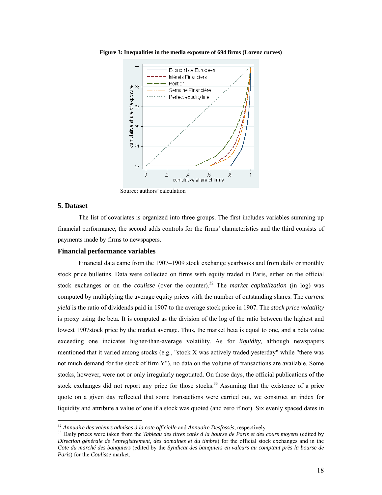

**Figure 3: Inequalities in the media exposure of 694 firms (Lorenz curves)** 

Source: authors' calculation

#### **5. Dataset**

The list of covariates is organized into three groups. The first includes variables summing up financial performance, the second adds controls for the firms' characteristics and the third consists of payments made by firms to newspapers.

#### **Financial performance variables**

Financial data came from the 1907–1909 stock exchange yearbooks and from daily or monthly stock price bulletins. Data were collected on firms with equity traded in Paris, either on the official stock exchanges or on the *coulisse* (over the counter).<sup>32</sup> The *market capitalization* (in log) was computed by multiplying the average equity prices with the number of outstanding shares. The *current yield* is the ratio of dividends paid in 1907 to the average stock price in 1907. The *stock price volatility*  is proxy using the beta. It is computed as the division of the log of the ratio between the highest and lowest 1907stock price by the market average. Thus, the market beta is equal to one, and a beta value exceeding one indicates higher-than-average volatility. As for *liquidity,* although newspapers mentioned that it varied among stocks (e.g., "stock X was actively traded yesterday" while "there was not much demand for the stock of firm Y"), no data on the volume of transactions are available. Some stocks, however, were not or only irregularly negotiated. On those days, the official publications of the stock exchanges did not report any price for those stocks.<sup>33</sup> Assuming that the existence of a price quote on a given day reflected that some transactions were carried out, we construct an index for liquidity and attribute a value of one if a stock was quoted (and zero if not). Six evenly spaced dates in

<sup>&</sup>lt;sup>32</sup> Annuaire des valeurs admises à la cote officielle and Annuaire Desfossés, respectively.

<sup>&</sup>lt;sup>33</sup> Daily prices were taken from the *Tableau des titres cotés à la bourse de Paris et des cours moyens* (edited by *Direction générale de l'enregistrement, des domaines et du timbre*) for the official stock exchanges and in the *Cote du marché des banquiers* (edited by the *Syndicat des banquiers en valeurs au comptant près la bourse de Paris*) for the *Coulisse* market.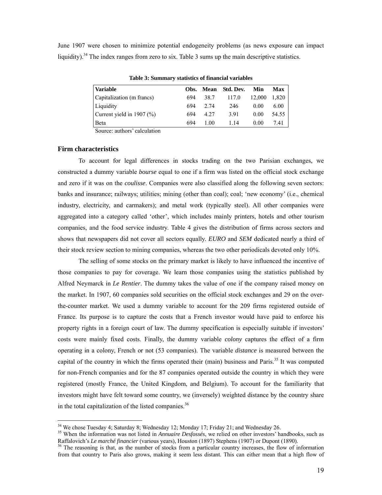June 1907 were chosen to minimize potential endogeneity problems (as news exposure can impact liquidity).<sup>34</sup> The index ranges from zero to six. Table 3 sums up the main descriptive statistics.

| <b>Variable</b>              | Obs. |       | <b>Mean</b> Std. Dev. | Min    | Max   |
|------------------------------|------|-------|-----------------------|--------|-------|
| Capitalization (m francs)    | 694  | 38.7  | 117.0                 | 12.000 | 1.820 |
| Liquidity                    | 694  | 2.74  | 246                   | 0.00   | 6.00  |
| Current yield in 1907 $(\%)$ | 694  | 4 2 7 | 391                   | 0.00   | 54.55 |
| Beta                         | 694  | 1.00  | 114                   | 0.00   | 741   |

**Table 3: Summary statistics of financial variables**

Source: authors' calculation

#### **Firm characteristics**

 $\overline{a}$ 

To account for legal differences in stocks trading on the two Parisian exchanges, we constructed a dummy variable *bourse* equal to one if a firm was listed on the official stock exchange and zero if it was on the *coulisse*. Companies were also classified along the following seven sectors: banks and insurance; railways; utilities; mining (other than coal); coal; 'new economy' (i.e., chemical industry, electricity, and carmakers); and metal work (typically steel). All other companies were aggregated into a category called 'other', which includes mainly printers, hotels and other tourism companies, and the food service industry. Table 4 gives the distribution of firms across sectors and shows that newspapers did not cover all sectors equally. *EURO* and *SEM* dedicated nearly a third of their stock review section to mining companies, whereas the two other periodicals devoted only 10%.

The selling of some stocks on the primary market is likely to have influenced the incentive of those companies to pay for coverage. We learn those companies using the statistics published by Alfred Neymarck in *Le Rentier*. The dummy takes the value of one if the company raised money on the market. In 1907, 60 companies sold securities on the official stock exchanges and 29 on the overthe-counter market. We used a dummy variable to account for the 209 firms registered outside of France. Its purpose is to capture the costs that a French investor would have paid to enforce his property rights in a foreign court of law. The dummy specification is especially suitable if investors' costs were mainly fixed costs. Finally, the dummy variable *colony* captures the effect of a firm operating in a colony, French or not (53 companies). The variable *distance* is measured between the capital of the country in which the firms operated their (main) business and Paris.<sup>35</sup> It was computed for non-French companies and for the 87 companies operated outside the country in which they were registered (mostly France, the United Kingdom, and Belgium). To account for the familiarity that investors might have felt toward some country, we (inversely) weighted distance by the country share in the total capitalization of the listed companies. $36$ 

 $34$  We chose Tuesday 4; Saturday 8; Wednesday 12; Monday 17; Friday 21; and Wednesday 26.

<sup>35</sup> When the information was not listed in *Annuaire Desfossés*, we relied on other investors' handbooks, such as Raffalovich's *Le marché financier* (various years), Houston (1897) Stephens (1907) or Dupont (1890). <sup>36</sup> The reasoning is that, as the number of stocks from a particular country increases, the flow of information

from that country to Paris also grows, making it seem less distant. This can either mean that a high flow of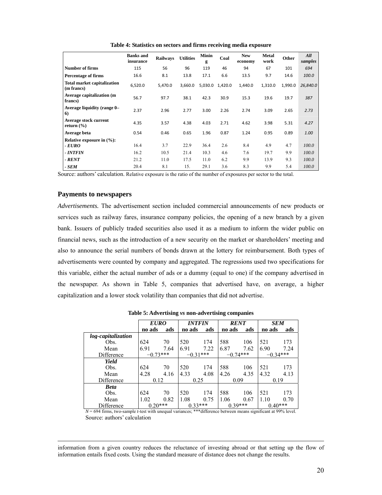|                                                  | <b>Banks</b> and<br>insurance | Railways | <b>Utilities</b> | <b>Minin</b><br>g | Coal    | <b>New</b><br>economy | <b>Metal</b><br>work | Other   | All<br>samples |
|--------------------------------------------------|-------------------------------|----------|------------------|-------------------|---------|-----------------------|----------------------|---------|----------------|
| <b>Number of firms</b>                           | 115                           | 56       | 96               | 119               | 46      | 94                    | 67                   | 101     | 694            |
| <b>Percentage of firms</b>                       | 16.6                          | 8.1      | 13.8             | 17.1              | 6.6     | 13.5                  | 9.7                  | 14.6    | 100.0          |
| <b>Total market capitalization</b><br>(m francs) | 6,520.0                       | 5,470.0  | 3,660.0          | 5,030.0           | 1,420.0 | 1,440.0               | 1,310.0              | 1,990.0 | 26,840.0       |
| Average capitalization (m<br>francs)             | 56.7                          | 97.7     | 38.1             | 42.3              | 30.9    | 15.3                  | 19.6                 | 19.7    | 387            |
| Average liquidity (range 0–<br>6)                | 2.37                          | 2.96     | 2.77             | 3.00              | 2.26    | 2.74                  | 3.09                 | 2.65    | 2.73           |
| Average stock current<br>return $(\% )$          | 4.35                          | 3.57     | 4.38             | 4.03              | 2.71    | 4.62                  | 3.98                 | 5.31    | 4.27           |
| Average beta                                     | 0.54                          | 0.46     | 0.65             | 1.96              | 0.87    | 1.24                  | 0.95                 | 0.89    | 1.00           |
| Relative exposure in $(\%):$                     |                               |          |                  |                   |         |                       |                      |         |                |
| - EURO                                           | 16.4                          | 3.7      | 22.9             | 36.4              | 2.6     | 8.4                   | 4.9                  | 4.7     | 100.0          |
| - <i>INTFIN</i>                                  | 16.2                          | 10.5     | 21.4             | 10.3              | 4.6     | 7.6                   | 19.7                 | 9.9     | 100.0          |
| - RENT                                           | 21.2                          | 11.0     | 17.5             | 11.0              | 6.2     | 9.9                   | 13.9                 | 9.3     | 100.0          |
| $-SEM$                                           | 20.4                          | 8.1      | 15.              | 29.1              | 3.6     | 8.3                   | 9.9                  | 5.4     | 100.0          |

**Table 4: Statistics on sectors and firms receiving media exposure** 

Source: authors' calculation. Relative exposure is the ratio of the number of exposures per sector to the total.

#### **Payments to newspapers**

*Advertisements.* The advertisement section included commercial announcements of new products or services such as railway fares, insurance company policies, the opening of a new branch by a given bank. Issuers of publicly traded securities also used it as a medium to inform the wider public on financial news, such as the introduction of a new security on the market or shareholders' meeting and also to announce the serial numbers of bonds drawn at the lottery for reimbursement. Both types of advertisements were counted by company and aggregated. The regressions used two specifications for this variable, either the actual number of ads or a dummy (equal to one) if the company advertised in the newspaper. As shown in Table 5, companies that advertised have, on average, a higher capitalization and a lower stock volatility than companies that did not advertise.

|                    |            | <b>EURO</b> |            | <b>INTFIN</b> | <b>RENT</b> |      | <b>SEM</b> |      |
|--------------------|------------|-------------|------------|---------------|-------------|------|------------|------|
|                    | no ads     | ads         | no ads     | ads           | no ads      | ads  | no ads     | ads  |
| log-capitalization |            |             |            |               |             |      |            |      |
| Obs.               | 624        | 70          | 520        | 174           | 588         | 106  | 521        | 173  |
| Mean               | 6.91       | 7.64        | 6.91       | 7.22          | 6.87        | 7.62 | 6.90       | 7.24 |
| Difference         | $-0.73***$ |             | $-0.31***$ |               | $-0.74***$  |      | $-0.34***$ |      |
| Yield              |            |             |            |               |             |      |            |      |
| Obs.               | 624        | 70          | 520        | 174           | 588         | 106  | 521        | 173  |
| Mean               | 4.28       | 4.16        | 4.33       | 4.08          | 4.26        | 4.35 | 4.32       | 4.13 |
| Difference         | 0.12       |             | 0.25       |               | 0.09        |      | 0.19       |      |
| <b>Beta</b>        |            |             |            |               |             |      |            |      |
| Obs.               | 624        | 70          | 520        | 174           | 588         | 106  | 521        | 173  |
| Mean               | 1.02       | 0.82        | 1.08       | 0.75          | 1.06        | 0.67 | 1.10       | 0.70 |
| Difference         | $0.20***$  |             | $0.33***$  |               | $0.39***$   |      | $0.40***$  |      |

**Table 5: Advertising** *vs* **non-advertising companies** 

*N* = 694 firms, two-sample *t*-test with unequal variances; \*\*\*difference between means significant at 99% level. Source: authors' calculation

 information from a given country reduces the reluctance of investing abroad or that setting up the flow of information entails fixed costs. Using the standard measure of distance does not change the results.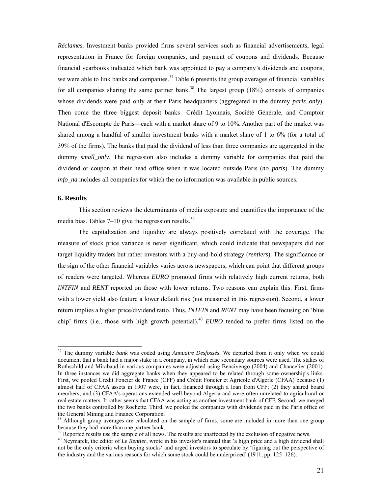*Réclames.* Investment banks provided firms several services such as financial advertisements, legal representation in France for foreign companies, and payment of coupons and dividends. Because financial yearbooks indicated which bank was appointed to pay a company's dividends and coupons, we were able to link banks and companies.<sup>37</sup> Table 6 presents the group averages of financial variables for all companies sharing the same partner bank.<sup>38</sup> The largest group  $(18%)$  consists of companies whose dividends were paid only at their Paris headquarters (aggregated in the dummy *paris\_only*). Then come the three biggest deposit banks—Crédit Lyonnais, Société Générale, and Comptoir National d'Escompte de Paris—each with a market share of 9 to 10%. Another part of the market was shared among a handful of smaller investment banks with a market share of 1 to 6% (for a total of 39% of the firms). The banks that paid the dividend of less than three companies are aggregated in the dummy *small\_only*. The regression also includes a dummy variable for companies that paid the dividend or coupon at their head office when it was located outside Paris (*no\_paris*). The dummy *info\_na* includes all companies for which the no information was available in public sources.

#### **6. Results**

l

This section reviews the determinants of media exposure and quantifies the importance of the media bias. Tables  $7-10$  give the regression results.<sup>39</sup>

The capitalization and liquidity are always positively correlated with the coverage. The measure of stock price variance is never significant, which could indicate that newspapers did not target liquidity traders but rather investors with a buy-and-hold strategy (*rentiers*). The significance or the sign of the other financial variables varies across newspapers, which can point that different groups of readers were targeted. Whereas *EURO* promoted firms with relatively high current returns, both *INTFIN* and *RENT* reported on those with lower returns. Two reasons can explain this. First, firms with a lower yield also feature a lower default risk (not measured in this regression). Second, a lower return implies a higher price/dividend ratio. Thus, *INTFIN* and *RENT* may have been focusing on 'blue chip' firms (i.e., those with high growth potential).<sup>40</sup> *EURO* tended to prefer firms listed on the

<sup>37</sup> The dummy variable *bank* was coded using *Annuaire Desfossés*. We departed from it only when we could document that a bank had a major stake in a company, in which case secondary sources were used. The stakes of Rothschild and Mirabaud in various companies were adjusted using Bencivengo (2004) and Chancelier (2001). In three instances we did aggregate banks when they appeared to be related through some ownership's links. First, we pooled Crédit Foncier de France (CFF) and Crédit Foncier et Agricole d'Algérie (CFAA) because (1) almost half of CFAA assets in 1907 were, in fact, financed through a loan from CFF; (2) they shared board members; and (3) CFAA's operations extended well beyond Algeria and were often unrelated to agricultural or real estate matters. It rather seems that CFAA was acting as another investment bank of CFF. Second, we merged the two banks controlled by Rochette. Third, we pooled the companies with dividends paid in the Paris office of the General Mining and Finance Corporation.

<sup>&</sup>lt;sup>38</sup> Although group averages are calculated on the sample of firms, some are included in more than one group because they had more than one partner bank.

 $39$  Reported results use the sample of all news. The results are unaffected by the exclusion of negative news.

<sup>&</sup>lt;sup>40</sup> Neymarck, the editor of *Le Rentier*, wrote in his investor's manual that <sup>2</sup> a high price and a high dividend shall not be the only criteria when buying stocks' and urged investors to speculate by 'figuring out the perspective of the industry and the various reasons for which some stock could be underpriced' (1911, pp. 125–126).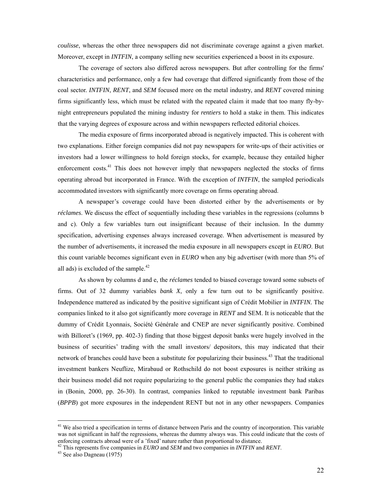*coulisse*, whereas the other three newspapers did not discriminate coverage against a given market. Moreover, except in *INTFIN*, a company selling new securities experienced a boost in its exposure.

The coverage of sectors also differed across newspapers. But after controlling for the firms' characteristics and performance, only a few had coverage that differed significantly from those of the coal sector. *INTFIN*, *RENT*, and *SEM* focused more on the metal industry, and *RENT* covered mining firms significantly less, which must be related with the repeated claim it made that too many fly-bynight entrepreneurs populated the mining industry for *rentiers* to hold a stake in them. This indicates that the varying degrees of exposure across and within newspapers reflected editorial choices.

The media exposure of firms incorporated abroad is negatively impacted. This is coherent with two explanations. Either foreign companies did not pay newspapers for write-ups of their activities or investors had a lower willingness to hold foreign stocks, for example, because they entailed higher enforcement costs.<sup>41</sup> This does not however imply that newspapers neglected the stocks of firms operating abroad but incorporated in France. With the exception of *INTFIN*, the sampled periodicals accommodated investors with significantly more coverage on firms operating abroad.

A newspaper's coverage could have been distorted either by the advertisements or by *réclames*. We discuss the effect of sequentially including these variables in the regressions (columns b and c). Only a few variables turn out insignificant because of their inclusion. In the dummy specification, advertising expenses always increased coverage. When advertisement is measured by the number of advertisements, it increased the media exposure in all newspapers except in *EURO*. But this count variable becomes significant even in *EURO* when any big advertiser (with more than 5% of all ads) is excluded of the sample. $42$ 

As shown by columns d and e, the *réclames* tended to biased coverage toward some subsets of firms. Out of 32 dummy variables *bank X*, only a few turn out to be significantly positive. Independence mattered as indicated by the positive significant sign of Crédit Mobilier in *INTFIN.* The companies linked to it also got significantly more coverage in *RENT* and SEM. It is noticeable that the dummy of Crédit Lyonnais, Société Générale and CNEP are never significantly positive. Combined with Billoret's (1969, pp. 402-3) finding that those biggest deposit banks were hugely involved in the business of securities' trading with the small investors/ depositors, this may indicated that their network of branches could have been a substitute for popularizing their business.<sup>43</sup> That the traditional investment bankers Neuflize, Mirabaud or Rothschild do not boost exposures is neither striking as their business model did not require popularizing to the general public the companies they had stakes in (Bonin, 2000, pp. 26-30). In contrast, companies linked to reputable investment bank Paribas (*BPPB*) got more exposures in the independent RENT but not in any other newspapers. Companies

<sup>&</sup>lt;sup>41</sup> We also tried a specification in terms of distance between Paris and the country of incorporation. This variable was not significant in half the regressions, whereas the dummy always was. This could indicate that the costs of enforcing contracts abroad were of a 'fixed' nature rather than proportional to distance.

<sup>&</sup>lt;sup>42</sup> This represents five companies in *EURO* and *SEM* and two companies in *INTFIN* and *RENT*.<br><sup>43</sup> See also Dagneau (1975)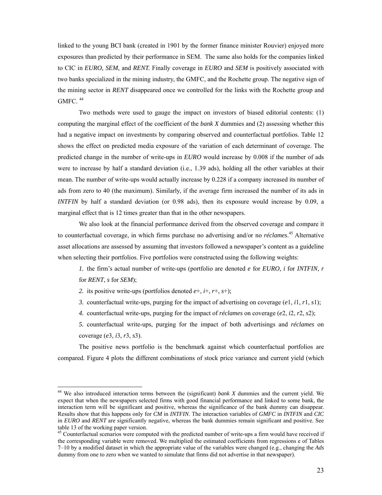linked to the young BCI bank (created in 1901 by the former finance minister Rouvier) enjoyed more exposures than predicted by their performance in SEM. The same also holds for the companies linked to CIC in *EURO*, *SEM*, and *RENT.* Finally coverage in *EURO* and *SEM* is positively associated with two banks specialized in the mining industry, the GMFC, and the Rochette group. The negative sign of the mining sector in *RENT* disappeared once we controlled for the links with the Rochette group and GMFC. 44

Two methods were used to gauge the impact on investors of biased editorial contents: (1) computing the marginal effect of the coefficient of the *bank X* dummies and (2) assessing whether this had a negative impact on investments by comparing observed and counterfactual portfolios. Table 12 shows the effect on predicted media exposure of the variation of each determinant of coverage. The predicted change in the number of write-ups in *EURO* would increase by 0.008 if the number of ads were to increase by half a standard deviation (i.e., 1.39 ads), holding all the other variables at their mean. The number of write-ups would actually increase by 0.228 if a company increased its number of ads from zero to 40 (the maximum). Similarly, if the average firm increased the number of its ads in *INTFIN* by half a standard deviation (or 0.98 ads), then its exposure would increase by 0.09, a marginal effect that is 12 times greater than that in the other newspapers.

We also look at the financial performance derived from the observed coverage and compare it to counterfactual coverage, in which firms purchase no advertising and/or no *réclames*. 45 Alternative asset allocations are assessed by assuming that investors followed a newspaper's content as a guideline when selecting their portfolios. Five portfolios were constructed using the following weights:

*1.* the firm's actual number of write-ups (portfolio are denoted *e* for *EURO*, *i* for *INTFIN*, *r* for *RENT*, *s* for *SEM*);

2. its positive write-ups (portfolios denoted  $e^+, i^+, r^+, s^+$ );

l

- *3.* counterfactual write-ups, purging for the impact of advertising on coverage (*e*1, *i*1, *r*1, *s*1);
- *4.* counterfactual write-ups, purging for the impact of *réclames* on coverage (*e*2, *i*2, *r*2, *s*2);
- *5.* counterfactual write-ups, purging for the impact of both advertisings and *réclames* on coverage (*e*3, *i*3, *r*3, *s*3).

The positive news portfolio is the benchmark against which counterfactual portfolios are compared. Figure 4 plots the different combinations of stock price variance and current yield (which

<sup>44</sup> We also introduced interaction terms between the (significant) *bank X* dummies and the current yield. We expect that when the newspapers selected firms with good financial performance and linked to some bank, the interaction term will be significant and positive, whereas the significance of the bank dummy can disappear. Results show that this happens only for *CM* in *INTFIN*. The interaction variables of *GMFC* in *INTFIN* and *CIC* in *EURO* and *RENT* are significantly negative, whereas the bank dummies remain significant and positive. See table 13 of the working paper version.

<sup>&</sup>lt;sup>45</sup> Counterfactual scenarios were computed with the predicted number of write-ups a firm would have received if the corresponding variable were removed. We multiplied the estimated coefficients from regressions e of Tables 7–10 by a modified dataset in which the appropriate value of the variables were changed (e.g., changing the *Ads* dummy from one to zero when we wanted to simulate that firms did not advertise in that newspaper).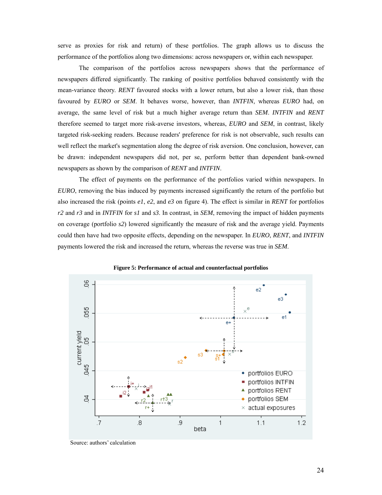serve as proxies for risk and return) of these portfolios. The graph allows us to discuss the performance of the portfolios along two dimensions: across newspapers or, within each newspaper.

The comparison of the portfolios across newspapers shows that the performance of newspapers differed significantly. The ranking of positive portfolios behaved consistently with the mean-variance theory. *RENT* favoured stocks with a lower return, but also a lower risk, than those favoured by *EURO* or *SEM*. It behaves worse, however, than *INTFIN*, whereas *EURO* had, on average, the same level of risk but a much higher average return than *SEM*. *INTFIN* and *RENT* therefore seemed to target more risk-averse investors, whereas, *EURO* and *SEM*, in contrast, likely targeted risk-seeking readers. Because readers' preference for risk is not observable, such results can well reflect the market's segmentation along the degree of risk aversion. One conclusion, however, can be drawn: independent newspapers did not, per se, perform better than dependent bank-owned newspapers as shown by the comparison of *RENT* and *INTFIN*.

The effect of payments on the performance of the portfolios varied within newspapers. In *EURO*, removing the bias induced by payments increased significantly the return of the portfolio but also increased the risk (points *e1*, *e2*, and *e3* on figure 4). The effect is similar in *RENT* for portfolios *r2* and *r3* and in *INTFIN* for *s1* and *s3*. In contrast, in *SEM*, removing the impact of hidden payments on coverage (portfolio *s2*) lowered significantly the measure of risk and the average yield. Payments could then have had two opposite effects, depending on the newspaper. In *EURO*, *RENT*, and *INTFIN* payments lowered the risk and increased the return, whereas the reverse was true in *SEM*.





Source: authors' calculation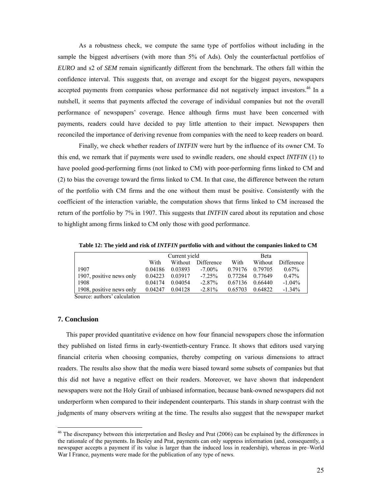As a robustness check, we compute the same type of portfolios without including in the sample the biggest advertisers (with more than 5% of Ads). Only the counterfactual portfolios of *EURO* and s2 of *SEM* remain significantly different from the benchmark. The others fall within the confidence interval. This suggests that, on average and except for the biggest payers, newspapers accepted payments from companies whose performance did not negatively impact investors.<sup>46</sup> In a nutshell, it seems that payments affected the coverage of individual companies but not the overall performance of newspapers' coverage. Hence although firms must have been concerned with payments, readers could have decided to pay little attention to their impact. Newspapers then reconciled the importance of deriving revenue from companies with the need to keep readers on board.

Finally, we check whether readers of *INTFIN* were hurt by the influence of its owner CM. To this end, we remark that if payments were used to swindle readers, one should expect *INTFIN* (1) to have pooled good-performing firms (not linked to CM) with poor-performing firms linked to CM and (2) to bias the coverage toward the firms linked to CM. In that case, the difference between the return of the portfolio with CM firms and the one without them must be positive. Consistently with the coefficient of the interaction variable, the computation shows that firms linked to CM increased the return of the portfolio by 7% in 1907. This suggests that *INTFIN* cared about its reputation and chose to highlight among firms linked to CM only those with good performance.

**Table 12: The yield and risk of** *INTFIN* **portfolio with and without the companies linked to CM** 

|                          |         | Current yield |                    | <b>B</b> eta |         |            |  |
|--------------------------|---------|---------------|--------------------|--------------|---------|------------|--|
|                          | With    |               | Without Difference | With         | Without | Difference |  |
| 1907                     | 0.04186 | 0.03893       | $-7.00\%$          | 0.79176      | 0.79705 | $0.67\%$   |  |
| 1907, positive news only | 0.04223 | 0.03917       | $-7.25\%$          | 0.77284      | 0.77649 | $0.47\%$   |  |
| 1908                     | 0.04174 | 0.04054       | $-2.87\%$          | 0.67136      | 0.66440 | $-1.04\%$  |  |
| 1908, positive news only | 0.04247 | 0.04128       | $-2.81\%$          | 0.65703      | 0.64822 | $-1.34\%$  |  |

Source: authors' calculation

#### **7. Conclusion**

l

This paper provided quantitative evidence on how four financial newspapers chose the information they published on listed firms in early-twentieth-century France. It shows that editors used varying financial criteria when choosing companies, thereby competing on various dimensions to attract readers. The results also show that the media were biased toward some subsets of companies but that this did not have a negative effect on their readers. Moreover, we have shown that independent newspapers were not the Holy Grail of unbiased information, because bank-owned newspapers did not underperform when compared to their independent counterparts. This stands in sharp contrast with the judgments of many observers writing at the time. The results also suggest that the newspaper market

<sup>&</sup>lt;sup>46</sup> The discrepancy between this interpretation and Besley and Prat (2006) can be explained by the differences in the rationale of the payments. In Besley and Prat, payments can only suppress information (and, consequently, a newspaper accepts a payment if its value is larger than the induced loss in readership), whereas in pre–World War I France, payments were made for the publication of any type of news.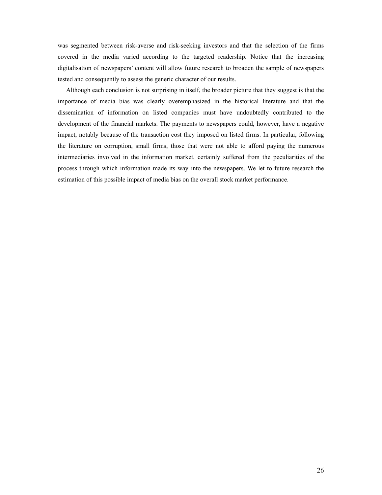was segmented between risk-averse and risk-seeking investors and that the selection of the firms covered in the media varied according to the targeted readership. Notice that the increasing digitalisation of newspapers' content will allow future research to broaden the sample of newspapers tested and consequently to assess the generic character of our results.

Although each conclusion is not surprising in itself, the broader picture that they suggest is that the importance of media bias was clearly overemphasized in the historical literature and that the dissemination of information on listed companies must have undoubtedly contributed to the development of the financial markets. The payments to newspapers could, however, have a negative impact, notably because of the transaction cost they imposed on listed firms. In particular, following the literature on corruption, small firms, those that were not able to afford paying the numerous intermediaries involved in the information market, certainly suffered from the peculiarities of the process through which information made its way into the newspapers. We let to future research the estimation of this possible impact of media bias on the overall stock market performance.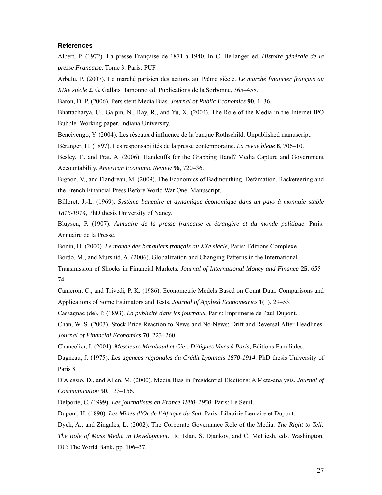#### **References**

Albert, P. (1972). La presse Française de 1871 à 1940. In C. Bellanger ed. *Histoire générale de la presse Française*. Tome 3. Paris: PUF.

Arbulu, P. (2007). Le marché parisien des actions au 19ème siècle. *Le marché financier français au XIXe siècle* **2**, G. Gallais Hamonno ed. Publications de la Sorbonne, 365–458.

Baron, D. P. (2006). Persistent Media Bias. *Journal of Public Economics* **90**, 1–36.

Bhattacharya, U., Galpin, N., Ray, R., and Yu, X. (2004). The Role of the Media in the Internet IPO Bubble. Working paper, Indiana University.

Bencivengo, Y. (2004). Les réseaux d'influence de la banque Rothschild. Unpublished manuscript.

Béranger, H. (1897). Les responsabilités de la presse contemporaine. *La revue bleue* **8**, 706–10.

Besley, T., and Prat, A. (2006). Handcuffs for the Grabbing Hand? Media Capture and Government Accountability. *American Economic Review* **96**, 720–36.

Bignon, V., and Flandreau, M. (2009). The Economics of Badmouthing. Defamation, Racketeering and the French Financial Press Before World War One. Manuscript.

Billoret, J.-L. (1969). *Système bancaire et dynamique économique dans un pays à monnaie stable 1816-1914*, PhD thesis University of Nancy.

Bluysen, P. (1907). *Annuaire de la presse française et étrangère et du monde politique*. Paris: Annuaire de la Presse.

Bonin, H. (2000). *Le monde des banquiers français au XXe siècle*, Paris: Editions Complexe.

Bordo, M., and Murshid, A. (2006). Globalization and Changing Patterns in the International

Transmission of Shocks in Financial Markets. *Journal of International Money and Finance* **25**, 655– 74.

Cameron, C., and Trivedi, P. K. (1986). Econometric Models Based on Count Data: Comparisons and Applications of Some Estimators and Tests. *Journal of Applied Econometrics* **1**(1), 29–53.

Cassagnac (de), P. (1893). *La publicité dans les journaux*. Paris: Imprimerie de Paul Dupont.

Chan, W. S. (2003). Stock Price Reaction to News and No-News: Drift and Reversal After Headlines. *Journal of Financial Economics* **70**, 223–260.

Chancelier, I. (2001). *Messieurs Mirabaud et Cie : D'Aigues Vives à Paris*, Editions Familiales*.*

Dagneau, J. (1975). *Les agences régionales du Crédit Lyonnais 1870-1914*. PhD thesis University of Paris 8

D'Alessio, D., and Allen, M. (2000). Media Bias in Presidential Elections: A Meta-analysis. *Journal of Communication* **50**, 133–156.

Delporte, C. (1999). *Les journalistes en France 1880–1950*. Paris: Le Seuil.

Dupont, H. (1890). *Les Mines d'Or de l'Afrique du Sud*. Paris: Librairie Lemaire et Dupont.

Dyck, A., and Zingales, L. (2002). The Corporate Governance Role of the Media. *The Right to Tell: The Role of Mass Media in Development.* R. Islan, S. Djankov, and C. McLiesh, eds. Washington, DC: The World Bank. pp. 106–37.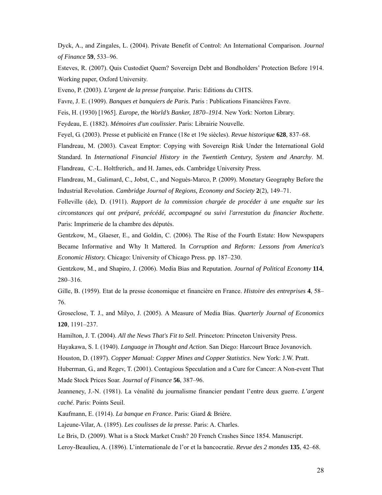Dyck, A., and Zingales, L. (2004). Private Benefit of Control: An International Comparison. *Journal of Finance* **59**, 533–96.

Esteves, R. (2007). Quis Custodiet Quem? Sovereign Debt and Bondholders' Protection Before 1914. Working paper, Oxford University.

Eveno, P. (2003). *L'argent de la presse française*. Paris: Editions du CHTS.

Favre, J. E. (1909). *Banques et banquiers de Paris*. Paris : Publications Financières Favre.

Feis, H. (1930) [1965]. *Europe, the World's Banker, 1870–1914*. New York: Norton Library.

Feydeau, E. (1882). *Mémoires d'un coulissier*. Paris: Librairie Nouvelle.

Feyel, G. (2003). Presse et publicité en France (18e et 19e siècles). *Revue historique* **628**, 837–68.

Flandreau, M. (2003). Caveat Emptor: Copying with Sovereign Risk Under the International Gold Standard. In *International Financial History in the Twentieth Century, System and Anarchy*. M. Flandreau, C.-L. Holtfrerich,. and H. James, eds. Cambridge University Press.

Flandreau, M., Galimard, C., Jobst, C., and Noguès-Marco, P. (2009). Monetary Geography Before the Industrial Revolution. *Cambridge Journal of Regions, Economy and Society* **2**(2), 149–71.

Folleville (de), D. (1911). *Rapport de la commission chargée de procéder à une enquête sur les circonstances qui ont préparé, précédé, accompagné ou suivi l'arrestation du financier Rochette*. Paris: Imprimerie de la chambre des députés.

Gentzkow, M., Glaeser, E., and Goldin, C. (2006). The Rise of the Fourth Estate: How Newspapers Became Informative and Why It Mattered. In *Corruption and Reform: Lessons from America's Economic History.* Chicago: University of Chicago Press. pp. 187–230.

Gentzkow, M., and Shapiro, J. (2006). Media Bias and Reputation. *Journal of Political Economy* **114**, 280–316.

Gille, B. (1959). Etat de la presse économique et financière en France. *Histoire des entreprises* **4**, 58– 76.

Groseclose, T. J., and Milyo, J. (2005). A Measure of Media Bias. *Quarterly Journal of Economics* **120**, 1191–237.

Hamilton, J. T. (2004). *All the News That's Fit to Sell*. Princeton: Princeton University Press.

Hayakawa, S. I. (1940). *Language in Thought and Action*. San Diego: Harcourt Brace Jovanovich.

Houston, D. (1897). *Copper Manual: Copper Mines and Copper Statistics*. New York: J.W. Pratt.

Huberman, G., and Regev, T. (2001). Contagious Speculation and a Cure for Cancer: A Non-event That Made Stock Prices Soar. *Journal of Finance* **56**, 387–96.

Jeanneney, J.-N. (1981). La vénalité du journalisme financier pendant l'entre deux guerre. *L'argent caché*. Paris: Points Seuil.

Kaufmann, E. (1914). *La banque en France*. Paris: Giard & Briére.

Lajeune-Vilar, A. (1895). *Les coulisses de la presse.* Paris: A. Charles.

Le Bris, D. (2009). What is a Stock Market Crash? 20 French Crashes Since 1854. Manuscript.

Leroy-Beaulieu, A. (1896). L'internationale de l'or et la bancocratie. *Revue des 2 mondes* **135**, 42–68.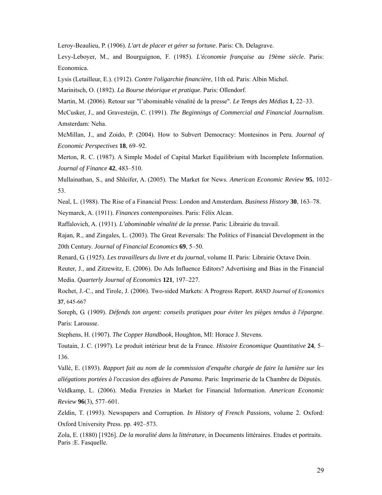Leroy-Beaulieu, P. (1906). *L'art de placer et gérer sa fortune*. Paris: Ch. Delagrave.

Levy-Leboyer, M., and Bourguignon, F. (1985). *L'économie française au 19ème siècle*. Paris: Economica.

Lysis (Letailleur, E.). (1912). *Contre l'oligarchie financière*, 11th ed. Paris: Albin Michel.

Marinitsch, O. (1892). *La Bourse théorique et pratique*. Paris: Ollendorf.

Martin, M. (2006). Retour sur "l'abominable vénalité de la presse". *Le Temps des Médias* **1**, 22–33.

McCusker, J., and Gravesteijn, C. (1991). *The Beginnings of Commercial and Financial Journalism*. Amsterdam: Neha.

McMillan, J., and Zoido, P. (2004). How to Subvert Democracy: Montesinos in Peru. *Journal of Economic Perspectives* **18**, 69–92.

Merton, R. C. (1987). A Simple Model of Capital Market Equilibrium with Incomplete Information. *Journal of Finance* **42**, 483–510.

Mullainathan, S., and Shleifer, A. (2005). The Market for News. *American Economic Review* **95**, 1032– 53.

Neal, L. (1988). The Rise of a Financial Press: London and Amsterdam. *Business History* **30**, 163–78. Neymarck, A. (1911). *Finances contemporaines*. Paris: Félix Alcan.

Raffalovich, A. (1931). *L'abominable vénalité de la presse*. Paris: Librairie du travail.

Rajan, R., and Zingales, L. (2003). The Great Reversals: The Politics of Financial Development in the 20th Century. *Journal of Financial Economics* **69**, 5–50.

Renard, G. (1925). *Les travailleurs du livre et du journal*, volume II. Paris: Librairie Octave Doin.

Reuter, J., and Zitzewitz, E. (2006). Do Ads Influence Editors? Advertising and Bias in the Financial Media. *Quarterly Journal of Economics* **121**, 197–227.

Rochet, J.-C., and Tirole, J. (2006). Two-sided Markets: A Progress Report. *RAND Journal of Economics* **37**, 645-667

Soreph, G. (1909). *Défends ton argent: conseils pratiques pour éviter les pièges tendus à l'épargne*. Paris: Larousse.

Stephens, H. (1907). *The Copper Handbook*, Houghton, MI: Horace J. Stevens.

Toutain, J. C. (1997). Le produit intérieur brut de la France. *Histoire Economique Quantitative* **24**, 5– 136.

Vallé, E. (1893). *Rapport fait au nom de la commission d'enquête chargée de faire la lumière sur les allégations portées à l'occasion des affaires de Panama*. Paris: Imprimerie de la Chambre de Députés.

Veldkamp, L. (2006). Media Frenzies in Market for Financial Information. *American Economic Review* **96**(3), 577–601.

Zeldin, T. (1993). Newspapers and Corruption. *In History of French Passions*, volume 2. Oxford: Oxford University Press. pp. 492–573.

Zola, E. (1880) [1926]. *De la moralité dans la littérature*, in Documents littéraires. Etudes et portraits. Paris :E. Fasquelle.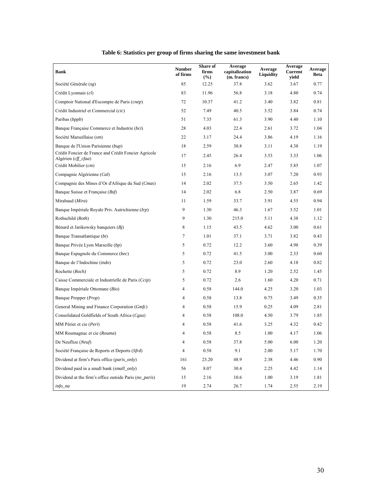| <b>Bank</b>                                                                          | <b>Number</b><br>of firms | Share of<br>firms<br>(%) | Average<br>capitalization<br>(m. francs) | Average<br>Liquidity | Average<br><b>Current</b><br>yield | Average<br><b>Beta</b> |
|--------------------------------------------------------------------------------------|---------------------------|--------------------------|------------------------------------------|----------------------|------------------------------------|------------------------|
| Société Générale (sg)                                                                | 85                        | 12.25                    | 37.8                                     | 3.62                 | 3.67                               | 0.77                   |
| Crédit Lyonnais (cl)                                                                 | 83                        | 11.96                    | 56.8                                     | 3.18                 | 4.80                               | 0.74                   |
| Comptoir National d'Escompte de Paris (cnep)                                         | 72                        | 10.37                    | 41.2                                     | 3.40                 | 3.82                               | 0.81                   |
| Crédit Industriel et Commercial (cic)                                                | 52                        | 7.49                     | 40.5                                     | 3.52                 | 3.84                               | 0.74                   |
| Paribas (bppb)                                                                       | 51                        | 7.35                     | 61.3                                     | 3.90                 | 4.40                               | 1.10                   |
| Banque Française Commerce et Industrie (bci)                                         | 28                        | 4.03                     | 22.4                                     | 2.61                 | 3.72                               | 1.04                   |
| Société Marseillaise (sm)                                                            | 22                        | 3.17                     | 24.4                                     | 3.86                 | 4.19                               | 1.16                   |
| Banque de l'Union Parisienne (bup)                                                   | 18                        | 2.59                     | 30.8                                     | 3.11                 | 4.38                               | 1.19                   |
| Crédit Foncier de France and Crédit Foncier Agricole<br>Algérien ( <i>cff_cfaa</i> ) | 17                        | 2.45                     | 26.4                                     | 3.53                 | 3.33                               | 1.06                   |
| Crédit Mobilier (cm)                                                                 | 15                        | 2.16                     | 6.9                                      | 2.47                 | 5.85                               | 1.07                   |
| Compagnie Algérienne (Cal)                                                           | 15                        | 2.16                     | 13.5                                     | 3.07                 | 7.20                               | 0.93                   |
| Compagnie des Mines d'Or d'Afrique du Sud (Cmas)                                     | 14                        | 2.02                     | 37.5                                     | 3.50                 | 2.65                               | 1.42                   |
| Banque Suisse et Française (Bsf)                                                     | 14                        | 2.02                     | 6.8                                      | 2.50                 | 3.87                               | 0.69                   |
| Mirabaud (Mira)                                                                      | 11                        | 1.59                     | 33.7                                     | 3.91                 | 4.55                               | 0.94                   |
| Banque Impériale Royale Priv. Autrichienne (Irp)                                     | 9                         | 1.30                     | 46.3                                     | 1.67                 | 3.52                               | 1.01                   |
| Rothschild (Roth)                                                                    | 9                         | 1.30                     | 215.0                                    | 5.11                 | 4.38                               | 1.12                   |
| Bénard et Jarikowsky banquiers (Bj)                                                  | 8                         | 1.15                     | 43.5                                     | 4.62                 | 3.00                               | 0.61                   |
| Banque Transatlantique (bt)                                                          | 7                         | 1.01                     | 37.1                                     | 3.71                 | 3.82                               | 0.43                   |
| Banque Privée Lyon Marseille (bp)                                                    | 5                         | 0.72                     | 12.2                                     | 3.60                 | 4.98                               | 0.39                   |
| Banque Espagnole du Commerce (bec)                                                   | 5                         | 0.72                     | 41.5                                     | 3.00                 | 2.33                               | 0.60                   |
| Banque de l'Indochine (indo)                                                         | 5                         | 0.72                     | 23.0                                     | 2.60                 | 4.18                               | 0.82                   |
| Rochette (Roch)                                                                      | 5                         | 0.72                     | 8.9                                      | 1.20                 | 2.52                               | 1.45                   |
| Caisse Commerciale et Industrielle de Paris (Ccip)                                   | 5                         | 0.72                     | 2.6                                      | 1.60                 | 4.20                               | 0.71                   |
| Banque Impériale Ottomane (Bio)                                                      | 4                         | 0.58                     | 144.0                                    | 4.25                 | 3.20                               | 1.03                   |
| Banque Propper ( <i>Prop</i> )                                                       | 4                         | 0.58                     | 13.8                                     | 0.75                 | 3.49                               | 0.35                   |
| General Mining and Finance Corporation (Gmfc)                                        | 4                         | 0.58                     | 15.9                                     | 0.25                 | 4.09                               | 2.81                   |
| Consolidated Goldfields of South Africa (Cgsa)                                       | 4                         | 0.58                     | 108.0                                    | 4.50                 | 3.79                               | 1.85                   |
| MM Périer et cie (Peri)                                                              | $\overline{4}$            | 0.58                     | 41.6                                     | 3.25                 | 4.32                               | 0.42                   |
| MM Roumagnac et cie (Rouma)                                                          | 4                         | 0.58                     | 8.5                                      | 1.00                 | 4.17                               | 1.06                   |
| De Neuflize (Neuf)                                                                   | 4                         | 0.58                     | 37.8                                     | 5.00                 | 6.00                               | $1.20\,$               |
| Société Française de Reports et Deports (Sfrd)                                       | 4                         | 0.58                     | 9.1                                      | 2.00                 | 5.17                               | 1.70                   |
| Dividend at firm's Paris office (paris_only)                                         | 161                       | 23.20                    | 48.9                                     | 2.38                 | 4.46                               | 0.90                   |
| Dividend paid in a small bank (small_only)                                           | 56                        | 8.07                     | 30.4                                     | 2.25                 | 4.42                               | 1.14                   |
| Dividend at the firm's office outside Paris (no paris)                               | 15                        | 2.16                     | 10.6                                     | 1.00                 | 3.19                               | 1.81                   |
| info_na                                                                              | 19                        | 2.74                     | 26.7                                     | 1.74                 | 2.55                               | 2.19                   |

## **Table 6: Statistics per group of firms sharing the same investment bank**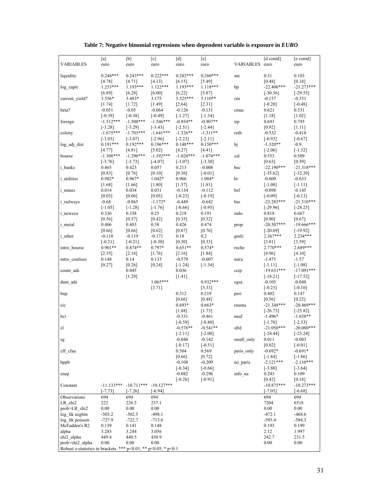|                                                                         | [a]                  | [b]                                    | [c]                | $[d]$              | [e]                  |                  | [d contd]              | [e contd]              |
|-------------------------------------------------------------------------|----------------------|----------------------------------------|--------------------|--------------------|----------------------|------------------|------------------------|------------------------|
| VARIABLES                                                               | euro                 | euro                                   | euro               | euro               | euro                 | <b>VARIABLES</b> | euro                   | euro                   |
|                                                                         |                      |                                        |                    |                    |                      |                  |                        |                        |
| liquidity                                                               | $0.246***$           | $0.243***$                             | $0.222***$         | $0.282***$         | $0.260***$           | sm               | 0.31                   | 0.103                  |
|                                                                         | [4.78]               | [4.71]                                 | [4.13]             | [6.15]             | [5.49]               |                  | [0.48]                 | $[0.18]$               |
| log_capit                                                               | $1.253***$           | 1.193***                               | $1.122***$         | $1.193***$         | $1.118***$           | bp               | $-22.406***$           | $-21.273***$           |
|                                                                         | [6.89]               | [6.28]                                 | $[6.00]$           | [6.22]             | [5.87]               |                  | $[-30.56]$             | $[-29.55]$             |
| current yield7                                                          | 3.556*               | $3.483*$                               | 3.175              | 5.525***           | $5.110**$            | cm               | $-0.157$               | $-0.351$               |
| beta7                                                                   | $[1.74]$<br>$-0.051$ | $[1.72]$<br>$-0.05$                    | [1.49]<br>$-0.064$ | [2.64]<br>$-0.126$ | $[2.31]$<br>$-0.131$ |                  | $[-0.20]$<br>0.621     | $[-0.48]$<br>0.531     |
|                                                                         | $[-0.39]$            | $[-0.38]$                              | $[-0.49]$          | $[-1.27]$          | $[-1.34]$            | cmas             | [1.18]                 | $[1.02]$               |
| foreign                                                                 | $-1.512***$          | $-1.508***$                            | $-1.546***$        | $-0.954**$         | $-0.907**$           | irp              | 0.693                  | 0.795                  |
|                                                                         | $[-3.28]$            | $[-3.29]$                              | $[-3.43]$          | $[-2.51]$          | $[-2.44]$            |                  | [0.92]                 | [1.11]                 |
| colony                                                                  | $-1.675***$          | $-1.703***$                            | $-1.641***$        | $-1.326**$         | $-1.311**$           | roth             | $-0.532$               | $-0.418$               |
|                                                                         | $[-3.03]$            | $[-3.07]$                              | $[-2.96]$          | $[-2.23]$          | $[-2.11]$            |                  | $[-0.93]$              | $[-0.67]$              |
| log_adj_dist                                                            | $0.191***$           | $0.192***$                             | $0.196***$         | $0.148***$         | $0.150***$           | bj               | $-1.320**$             | $-0.9$                 |
|                                                                         | [4.77]               | [4.81]                                 | $[5.02]$           | [4.27]             | [4.41]               |                  | $[-2.06]$              | $[-1.32]$              |
| bourse                                                                  | $-1.308***$          | $-1.296***$                            | $-1.392***$        | $-1.024***$        | $-1.074***$          | cal              | 0.553                  | 0.509                  |
|                                                                         | $[-3.76]$            | $[-3.73]$                              | $[-4.07]$          | $[-3.07]$          | $[-3.30]$            |                  | [0.63]                 | $[0.59]$               |
| i_banks                                                                 | 0.465                | 0.423                                  | 0.057              | 0.213              | $-0.008$             | bec              | $-22.190***$           | $-21.318***$           |
|                                                                         | [0.83]               | [0.76]                                 | [0.10]             | [0.36]             | $[-0.01]$            |                  | $[-35.62]$             | $[-32.20]$             |
| <i>i</i> utilities                                                      | 0.982*               | $0.967*$                               | $1.042*$           | 0.966              | 1.084*               | bt               | $-0.609$               | $-0.633$               |
|                                                                         | $[1.68]$             | $[1.66]$                               | [1.80]             | [1.57]             | $[1.81]$             |                  | $[-1.08]$              | $[-1.11]$              |
| <i>i_mines</i>                                                          | 0.014                | 0.034                                  | 0.031              | $-0.134$           | $-0.112$             | bsf              | $-0.098$               | $-0.145$               |
|                                                                         | [0.03]               | $[0.06]$                               | [0.05]             | $[-0.23]$          | $[-0.19]$            |                  | $[-0.09]$              | $[-0.13]$              |
| i_railways                                                              | $-0.68$              | $-0.865$                               | $-1.172*$          | $-0.449$           | $-0.642$             | bio              | $-23.285***$           | $-21.510***$           |
|                                                                         | $[-1.05]$            | $[-1.28]$                              | $[-1.76]$          | $[-0.66]$          | $[-0.95]$            |                  | $[-29.96]$             | $[-28.25]$             |
| 1_neweco                                                                | 0.336                | 0.338                                  | 0.25               | 0.218              | 0.191                | indo             | 0.818                  | 0.667                  |
|                                                                         | $[0.56]$             | $[0.57]$                               | $[0.42]$           | $[0.35]$           | $[0.32]$             |                  | [0.90]<br>$-20.507***$ | $[0.67]$               |
| i_metal                                                                 | 0.406                | 0.403                                  | 0.38               | 0.426              | 0.474                | prop             |                        | $-19.666***$           |
|                                                                         | $[0.66]$<br>$-0.118$ | $[0.66]$<br>$-0.119$                   | [0.62]<br>$-0.171$ | $[0.67]$<br>0.18   | $[0.76]$<br>0.2      |                  | $[-20.69]$<br>2.367*** | $[-19.92]$<br>2.234*** |
| i_other                                                                 | $[-0.21]$            | $[-0.21]$                              | $[-0.30]$          | $[0.30]$           | [0.33]               | gmfc             | [3.81]                 | $[3.59]$               |
| intro_bourse                                                            | $0.901**$            | $0.874**$                              | 0.797*             | $0.651**$          | $0.574*$             | roche            | 2.770***               | 2.689***               |
|                                                                         | $[2.35]$             | [2.18]                                 | [1.76]             | [2.16]             | $[1.84]$             |                  | [4.96]                 | $[4.34]$               |
| intro_coulisse                                                          | 0.148                | 0.14                                   | 0.133              | $-0.579$           | $-0.607$             | mira             | $-1.475$               | $-1.57$                |
|                                                                         | $[0.27]$             | $[0.26]$                               | [0.24]             | $[-1.24]$          | $[-1.34]$            |                  | $[-1.11]$              | $[-1.08]$              |
| count_ads                                                               |                      | 0.045                                  |                    | 0.036              |                      | ccip             | $-19.631***$           | $-17.091***$           |
|                                                                         |                      | $[1.29]$                               |                    | $[1.41]$           |                      |                  | $[-18.21]$             | $[-17.52]$             |
| dum_ads                                                                 |                      |                                        | $1.065***$         |                    | $0.932***$           | cgsa             | $-0.105$               | $-0.048$               |
|                                                                         |                      |                                        | [3.71]             |                    | [3.33]               |                  | $[-0.23]$              | $[-0.10]$              |
| bup                                                                     |                      |                                        |                    | 0.312              | 0.219                | peri             | 0.402                  | 0.147                  |
|                                                                         |                      |                                        |                    | [0.66]             | [0.48]               |                  | [0.56]                 | $[0.22]$               |
| cic                                                                     |                      |                                        |                    | $0.693*$           | $0.663*$             | rouma            | $-21.348***$           | $-20.469***$           |
|                                                                         |                      |                                        |                    | $[1.88]$           | $[1.73]$             |                  | $[-26.73]$             | $[-25.82]$             |
| bci                                                                     |                      |                                        |                    | $-0.331$           | $-0.461$             | neuf             | -1.496*                | $-1.658**$             |
|                                                                         |                      |                                        |                    | $[-0.59]$          | $[-0.80]$            |                  | $[-1.78]$              | $[-2.33]$              |
| cl                                                                      |                      |                                        |                    | $-0.576**$         | $-0.541**$           | sfrd             | $-21.050***$           | $-20.080***$           |
|                                                                         |                      |                                        |                    | $[-2.11]$          | $[-2.00]$            |                  | $[-24.44]$             | $[-23.24]$             |
| sg                                                                      |                      |                                        |                    | $-0.048$           | $-0.142$             | small only       | 0.011<br>[0.02]        | $-0.003$               |
| cff cfaa                                                                |                      |                                        |                    | $[-0.17]$<br>0.504 | $[-0.51]$<br>0.569   | paris only       | $-0.692*$              | $[-0.01]$<br>$-0.691*$ |
|                                                                         |                      |                                        |                    | [0.66]             | $[0.72]$             |                  | $[-1.84]$              | $[-1.86]$              |
| bppb                                                                    |                      |                                        |                    | $-0.108$           | $-0.209$             | no paris         | $-2.121***$            | $-2.110***$            |
|                                                                         |                      |                                        |                    | $[-0.34]$          | $[-0.66]$            |                  | $[-3.80]$              | $[-3.64]$              |
| cnep                                                                    |                      |                                        |                    | $-0.082$           | $-0.296$             | info na          | 0.243                  | 0.109                  |
|                                                                         |                      |                                        |                    | $[-0.26]$          | $[-0.91]$            |                  | $[0.42]$               | [0.18]                 |
| Constant                                                                |                      | $-11.133***$ $-10.711***$ $-10.127***$ |                    |                    |                      |                  | $-10.875***$           | $-10.273***$           |
|                                                                         | $[-7.73]$            | $[-7.26]$                              | $[-6.94]$          |                    |                      |                  | $[-7.05]$              | $[-6.68]$              |
| Observations                                                            | 694                  | 694                                    | 694                |                    |                      |                  | 694                    | 694                    |
| LR chi2                                                                 | 222                  | 226.5                                  | 237.1              |                    |                      |                  | 7204                   | 6518                   |
| prob>LR chi2                                                            | $0.00\,$             | 0.00                                   | 0.00               |                    |                      |                  | 0.00                   | 0.00                   |
| log lik negbin                                                          | $-503.2$             | $-502.5$                               | $-498.1$           |                    |                      |                  | $-472.1$               | $-468.6$               |
| log lik poisson                                                         | $-727.9$             | $-722.7$                               | $-713.6$           |                    |                      |                  | $-593.4$               | $-584.3$               |
| McFadden's R2                                                           | 0.139                | 0.141                                  | 0.148              |                    |                      |                  | 0.193                  | 0.199                  |
| alpha                                                                   | 3.283                | 3.244                                  | 3.056              |                    |                      |                  | 2.12                   | 1.997                  |
| chi <sub>2</sub> alpha                                                  | 449.4                | 440.5                                  | 430.9              |                    |                      |                  | 242.7                  | 231.5                  |
| prob>chi2 alpha                                                         | 0.00                 | 0.00                                   | 0.00               |                    |                      |                  | 0.00                   | 0.00                   |
| Robust z-statistics in brackets. *** $p<0.01$ , ** $p<0.05$ , * $p<0.1$ |                      |                                        |                    |                    |                      |                  |                        |                        |

**Table 7: Negative binomial regressions when dependent variable is exposure in** *EURO*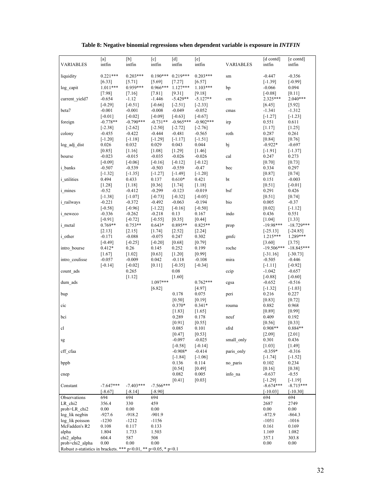|                                                                 | [a]                | [b]                  | [c]                  | [d]                | [e]                  |                  | [d contd]             | $[$ e contd $]$       |
|-----------------------------------------------------------------|--------------------|----------------------|----------------------|--------------------|----------------------|------------------|-----------------------|-----------------------|
| VARIABLES                                                       | intfin             | intfin               | intfin               | intfin             | intfin               | <b>VARIABLES</b> | intfin                | intfin                |
|                                                                 |                    |                      |                      |                    |                      |                  |                       |                       |
| liquidity                                                       | $0.221***$         | $0.203***$           | $0.190***$           | $0.219***$         | $0.203***$           | $\rm sm$         | $-0.447$              | $-0.356$              |
|                                                                 | [6.33]             | [5.71]               | [5.69]               | [7.27]             | [6.57]               |                  | $[-1.39]$             | $[-0.99]$             |
| log capit                                                       | $1.011***$         | $0.959***$           | $0.966***$           | $1.127***$         | $1.103***$           | bp               | $-0.066$              | 0.094                 |
|                                                                 | [7.98]             | [7.16]               | $[7.81]$             | [9.31]             | [9.18]               |                  | $[-0.08]$             | [0.11]                |
| current vield7                                                  | $-0.654$           | $-1.12$              | $-1.446$             | $-5.429**$         | $-5.127**$           | cm               | 2.325***              | $2.040***$            |
|                                                                 | $[-0.29]$          | $[-0.51]$            | $[-0.66]$            | $[-2.51]$          | $[-2.33]$            |                  | [6.45]                | [5.92]                |
| beta7                                                           | $-0.001$           | $-0.001$             | $-0.008$             | $-0.049$           | $-0.052$             | cmas             | $-1.341$              | $-1.312$              |
|                                                                 | $[-0.01]$          | $[-0.02]$            | $[-0.09]$            | $[-0.63]$          | $[-0.67]$            |                  | $[-1.27]$             | $[-1.23]$             |
| foreign                                                         | $-0.778**$         | $-0.790***$          | $-0.731**$           | $-0.965***$        | $-0.902***$          | irp              | 0.551                 | 0.611                 |
|                                                                 | $[-2.38]$          | $[-2.62]$            | $[-2.50]$            | $[-2.72]$          | $[-2.76]$            |                  | [1.17]                | $[1.25]$              |
| colony                                                          | $-0.455$           | $-0.422$             | $-0.444$             | $-0.481$           | $-0.565$             | roth             | 0.287                 | 0.261                 |
|                                                                 | $[-1.20]$          | $[-1.18]$            | $[-1.29]$            | $[-1.17]$          | $[-1.51]$            |                  | [0.84]                | [0.76]<br>$-0.697$    |
| log adj dist                                                    | 0.026              | 0.032                | 0.029                | 0.043              | 0.044                | bj               | $-0.922*$             |                       |
| bourse                                                          | [0.85]<br>$-0.023$ | $[1.16]$<br>$-0.015$ | $[1.08]$<br>$-0.035$ | [1.29]<br>$-0.026$ | $[1.46]$<br>$-0.026$ | cal              | $[-1.91]$<br>0.247    | $[-1.37]$<br>0.273    |
|                                                                 | $[-0.09]$          | $[-0.06]$            | $[-0.16]$            | $[-0.12]$          | $[-0.12]$            |                  | [0.70]                | [0.73]                |
| i banks                                                         | $-0.507$           | $-0.539$             | $-0.503$             | $-0.559$           | $-0.47$              | bec              | 0.334                 | 0.297                 |
|                                                                 | $[-1.32]$          | $[-1.35]$            | $[-1.27]$            | $[-1.49]$          | $[-1.20]$            |                  | [0.87]                | [0.74]                |
| <i>i</i> utilities                                              | 0.494              | 0.433                | 0.137                | $0.610*$           | 0.421                | bt               | 0.151                 | $-0.003$              |
|                                                                 | $[1.28]$           | $[1.18]$             | [0.36]               | [1.74]             | $[1.18]$             |                  | [0.51]                | $[-0.01]$             |
| <i>i</i> mines                                                  | $-0.52$            | $-0.412$             | $-0.299$             | $-0.123$           | $-0.019$             | bsf              | 0.291                 | 0.426                 |
|                                                                 | $[-1.38]$          | $[-1.07]$            | $[-0.73]$            | $[-0.32]$          | $[-0.05]$            |                  | [0.51]                | [0.74]                |
| <i>i</i> railways                                               | $-0.221$           | $-0.372$             | $-0.492$             | $-0.063$           | $-0.194$             | bio              | 0.005                 | $-0.37$               |
|                                                                 | $[-0.58]$          | $[-0.96]$            | $[-1.22]$            | $[-0.16]$          | $[-0.50]$            |                  | $[0.02]$              | $[-1.12]$             |
| <i>i</i> neweco                                                 | $-0.336$           | $-0.262$             | $-0.218$             | 0.13               | 0.167                | indo             | 0.436                 | 0.551                 |
|                                                                 | $[-0.91]$          | $[-0.72]$            | $[-0.55]$            | [0.35]             | $[0.44]$             |                  | [1.04]                | [1.33]                |
| <i>i</i> metal                                                  | $0.769**$          | $0.753**$            | $0.643*$             | $0.895**$          | $0.825**$            | prop             | $-19.98***$           | $-18.729***$          |
|                                                                 | [2.13]             | [2.15]               | [1.74]               | $[2.52]$           | $[2.24]$             |                  | $[-25.13]$            | $[-24.85]$            |
| <i>i</i> other                                                  | $-0.171$           | $-0.088$             | $-0.075$             | 0.247              | 0.302                | gmfc             | $1.215***$            | $1.289***$            |
|                                                                 | $[-0.49]$          | $[-0.25]$            | $[-0.20]$            | [0.68]             | [0.79]               |                  | $[3.60]$              | [3.75]                |
| intro bourse                                                    | $0.412*$           | 0.26                 | 0.145                | 0.252              | 0.199                | roche            | $-19.506***$          | $-18.845***$          |
|                                                                 | $[1.67]$           | $[1.02]$             | [0.63]               | $[1.20]$           | [0.99]               |                  | $[-31.16]$            | $[-30.73]$            |
| intro coulisse                                                  | $-0.057$           | $-0.009$             | 0.042                | $-0.118$           | $-0.108$             | mira             | $-0.505$              | $-0.446$              |
|                                                                 | $[-0.14]$          | $[-0.02]$            | [0.11]               | $[-0.35]$          | $[-0.34]$            |                  | $[-1.11]$             | $[-0.92]$             |
| count ads                                                       |                    | 0.265                |                      | 0.08               |                      | ccip             | $-1.042$              | $-0.657$              |
| dum ads                                                         |                    | $[1.12]$             | $1.097***$           | [1.60]             | $0.762***$           | cgsa             | $[-0.88]$<br>$-0.652$ | $[-0.60]$<br>$-0.516$ |
|                                                                 |                    |                      | [6.82]               |                    | [4.97]               |                  | $[-1.32]$             | $[-1.03]$             |
| bup                                                             |                    |                      |                      | 0.178              | 0.075                | peri             | 0.216                 | 0.227                 |
|                                                                 |                    |                      |                      | [0.50]             | [0.19]               |                  | [0.83]                | [0.72]                |
| cic                                                             |                    |                      |                      | $0.370*$           | $0.341*$             | rouma            | 0.882                 | 0.968                 |
|                                                                 |                    |                      |                      | $[1.83]$           | $[1.65]$             |                  | [0.89]                | [0.99]                |
| bci                                                             |                    |                      |                      | 0.289              | 0.178                | neuf             | 0.409                 | 0.192                 |
|                                                                 |                    |                      |                      | [0.91]             | [0.55]               |                  | [0.56]                | [0.33]                |
| cl                                                              |                    |                      |                      | 0.085              | 0.101                | sfrd             | 0.908**               | $0.884**$             |
|                                                                 |                    |                      |                      | [0.47]             | [0.53]               |                  | [2.09]                | $[2.01]$              |
| sg                                                              |                    |                      |                      | $-0.097$           | $-0.025$             | small only       | 0.301                 | 0.436                 |
|                                                                 |                    |                      |                      | $[-0.58]$          | $[-0.14]$            |                  | $[1.03]$              | $[1.49]$              |
| cff cfaa                                                        |                    |                      |                      | $-0.908*$          | $-0.414$             | paris only       | $-0.359*$             | $-0.316$              |
|                                                                 |                    |                      |                      | $[-1.84]$          | $[-1.06]$            |                  | $[-1.74]$             | $[-1.52]$             |
| bppb                                                            |                    |                      |                      | 0.136              | 0.114                | no paris         | 0.102                 | 0.234                 |
|                                                                 |                    |                      |                      | [0.54]<br>0.082    | [0.49]<br>0.005      |                  | [0.16]<br>$-0.637$    | [0.38]                |
| cnep                                                            |                    |                      |                      | [0.41]             | $[0.03]$             | info na          | $[-1.29]$             | $-0.55$<br>$[-1.19]$  |
| Constant                                                        | $-7.647***$        | $-7.403***$          | $-7.566***$          |                    |                      |                  | $-8.674***$           | $-8.715***$           |
|                                                                 | $[-8.67]$          | $[-8.14]$            | $[-8.90]$            |                    |                      |                  | $[-10.03]$            | $[-10.30]$            |
| Observations                                                    | 694                | 694                  | 694                  |                    |                      |                  | 694                   | 694                   |
| LR chi2                                                         | 356.4              | 330                  | 459                  |                    |                      |                  | 2687                  | 2749                  |
| $prob>E$ chi2                                                   | $0.00\,$           | 0.00                 | 0.00                 |                    |                      |                  | $0.00\,$              | 0.00                  |
| log lik negbin                                                  | $-927.6$           | -918.2               | $-901.9$             |                    |                      |                  | $-872.9$              | $-864.3$              |
| log lik poisson                                                 | $-1230$            | -1212                | -1156                |                    |                      |                  | $-1051$               | $-1016$               |
| McFadden's R2                                                   | 0.108              | 0.117                | 0.133                |                    |                      |                  | 0.161                 | 0.169                 |
| alpha                                                           | 1.804              | 1.733                | 1.503                |                    |                      |                  | 1.169                 | 1.082                 |
| chi <sub>2</sub> alpha                                          | 604.4              | 587                  | 508                  |                    |                      |                  | 357.1                 | 303.8                 |
| prob>chi2 alpha                                                 | 0.00               | 0.00                 | 0.00                 |                    |                      |                  | 0.00                  | 0.00                  |
| Robust z-statistics in brackets. *** p<0.01, ** p<0.05, * p<0.1 |                    |                      |                      |                    |                      |                  |                       |                       |

| Table 8: Negative binomial regressions when dependent variable is exposure in INTFIN |  |  |
|--------------------------------------------------------------------------------------|--|--|
|                                                                                      |  |  |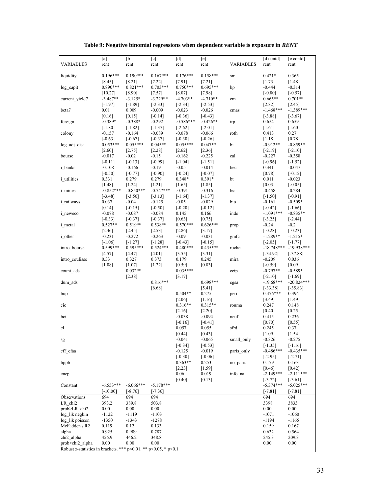| VARIABLES                        | [a]<br>rent      | [b]<br>rent     | [c]<br>rent        | [d]<br>rent | [e]<br>rent | <b>VARIABLES</b> | [d contd]<br>rent  | [e contd]<br>rent |
|----------------------------------|------------------|-----------------|--------------------|-------------|-------------|------------------|--------------------|-------------------|
|                                  |                  |                 |                    |             |             |                  |                    |                   |
| liquidity                        | $0.196***$       | $0.190***$      | $0.167***$         | $0.176***$  | $0.158***$  | sm               | $0.421*$           | 0.365             |
|                                  | [8.45]           | $[8.21]$        | $[7.22]$           | [7.91]      | [7.21]      |                  | [1.73]             | [1.48]            |
| log capit                        | $0.890***$       | $0.821***$      | $0.703***$         | $0.750***$  | $0.695***$  | bp               | $-0.444$           | $-0.314$          |
|                                  | [10.27]          | [8.90]          | [7.57]             | $[8.07]$    | [7.98]      |                  | $[-0.80]$          | $[-0.57]$         |
| current yield7                   | $-3.487**$       | $-3.125*$       | $-3.229**$         | $-4.703**$  | $-4.710**$  | cm               | $0.665**$          | $0.701**$         |
|                                  | $[-1.97]$        | $[-1.89]$       | $[-2.33]$          | $[-2.34]$   | $[-2.53]$   |                  | $[2.32]$           | [2.45]            |
| beta7                            | 0.01             | 0.009           | $-0.009$           | $-0.023$    | $-0.026$    | cmas             | $-1.468***$        | $-1.389***$       |
|                                  | [0.16]           | [0.15]          | $[-0.14]$          | $[-0.36]$   | $[-0.43]$   |                  | $[-3.88]$          | $[-3.67]$         |
| foreign                          | $-0.389*$        | $-0.388*$       | $-0.292$           | $-0.586***$ | $-0.426**$  | irp              | 0.654              | 0.659             |
|                                  | $[-1.80]$        | $[-1.82]$       | $[-1.37]$          | $[-2.62]$   | $[-2.01]$   |                  | $[1.61]$           | $[1.60]$          |
| colony                           | $-0.157$         | $-0.164$        | $-0.089$           | $-0.078$    | $-0.066$    | roth             | 0.413              | 0.27              |
|                                  | $[-0.63]$        | $[-0.67]$       | $[-0.37]$          | $[-0.30]$   | $[-0.26]$   |                  | [1.18]             | [0.78]            |
| log_adj_dist                     | $0.053***$       | $0.055***$      | $0.045**$          | $0.055***$  | $0.047**$   | bj               | $-0.912**$         | $-0.859**$        |
|                                  | $[2.60]$         | [2.75]          | $[2.28]$           | $[2.62]$    | $[2.36]$    |                  | $[-2.19]$          | $[-2.10]$         |
| bourse                           | $-0.017$         | $-0.02$         | $-0.15$            | $-0.162$    | $-0.225$    | cal              | $-0.227$           | $-0.358$          |
|                                  | $[-0.11]$        | $[-0.13]$       | $[-0.99]$          | $[-1.04]$   | $[-1.51]$   |                  | $[-0.96]$          | $[-1.52]$         |
| i banks                          | $-0.108$         | $-0.166$        | $-0.19$            | $-0.05$     | $-0.014$    | bec              | 0.341              | $-0.047$          |
|                                  | $[-0.50]$        | $[-0.77]$       | $[-0.90]$          | $[-0.24]$   | $[-0.07]$   |                  | [0.78]             | $[-0.12]$         |
| <i>i</i> utilities               | 0.331            | 0.279           | 0.279              | $0.348*$    | $0.391*$    | bt               | 0.011              | $-0.023$          |
|                                  | [1.48]           | [1.24]          | [1.21]             | $[1.65]$    | $[1.85]$    |                  | [0.03]             | $[-0.05]$         |
| <i>i</i> mines                   | $-0.852***$      | $-0.850***$     | $-0.747***$        | $-0.391$    | $-0.316$    | bsf              | $-0.458$           | $-0.284$          |
|                                  | $[-3.48]$        | $[-3.50]$       | $[-3.13]$          | $[-1.64]$   | $[-1.37]$   |                  | $[-1.50]$          | $[-0.91]$         |
| i railways                       | 0.037            | $-0.04$         | $-0.125$           | $-0.05$     | $-0.029$    | bio              | $-0.161$           | $-0.509*$         |
|                                  | [0.14]           | $[-0.15]$       | $[-0.50]$          | $[-0.20]$   | $[-0.12]$   |                  | $[-0.42]$          | $[-1.66]$         |
| i neweco                         | $-0.078$         | $-0.087$        | $-0.084$           | 0.145       | 0.166       | indo             | $-1.091***$        | $-0.835**$        |
|                                  | $[-0.33]$        | $[-0.37]$       | $[-0.37]$          | [0.63]      | [0.75]      |                  | $[-3.25]$          | $[-2.44]$         |
| <i>i</i> metal                   | $0.527**$        | $0.519**$       | $0.538**$          | $0.570***$  | $0.626***$  | prop             | $-0.24$            | $-0.2$            |
|                                  | [2.46]           | [2.45]          | [2.53]             | $[2.86]$    | [3.17]      |                  | $[-0.28]$          | $[-0.23]$         |
| <i>i</i> other                   | $-0.231$         | $-0.272$        | $-0.263$           | $-0.09$     | $-0.031$    | gmfc             | $-1.289**$         | $-1.215*$         |
|                                  | $[-1.06]$        | $[-1.27]$       | $[-1.28]$          | $[-0.43]$   | $[-0.15]$   |                  | $[-2.05]$          | $[-1.77]$         |
| intro bourse                     | $0.599***$       | $0.595***$      | $0.524***$         | $0.480***$  | $0.435***$  | roche            | $-18.748***$       | $-19.938***$      |
|                                  | [4.57]           | $[4.47]$        | [4.01]             | [3.55]      | $[3.31]$    |                  | $[-34.92]$         | $[-37.88]$        |
| intro_coulisse                   | 0.33             | 0.327           | 0.373              | 0.179       | 0.245       | mira             | $-0.209$           | 0.036             |
|                                  | $[1.08]$         | $[1.07]$        | $[1.22]$           | [0.59]      | [0.83]      |                  | $[-0.59]$          | [0.09]            |
| count_ads                        |                  | $0.032**$       |                    | $0.035***$  |             | ccip             | $-0.797**$         | $-0.589*$         |
|                                  |                  | $[2.38]$        |                    | [3.17]      |             |                  | $[-2.10]$          | $[-1.69]$         |
| dum_ads                          |                  |                 | $0.816***$         |             | $0.698***$  | cgsa             | $-19.68***$        | $-20.824***$      |
|                                  |                  |                 | $[6.68]$           |             | [5.41]      |                  | $[-33.38]$         | $[-35.83]$        |
| bup                              |                  |                 |                    | $0.504**$   | 0.275       | peri             | $0.476***$         | 0.394             |
|                                  |                  |                 |                    | $[2.06]$    | [1.16]      |                  | [3.49]             | [1.49]            |
| cic                              |                  |                 |                    | $0.316**$   | $0.315**$   | rouma            | 0.247              | 0.148             |
|                                  |                  |                 |                    | [2.16]      | $[2.20]$    |                  | $[0.40]$           | $[0.25]$          |
| bci                              |                  |                 |                    | $-0.038$    | $-0.094$    | neuf             | 0.415              | 0.236             |
|                                  |                  |                 |                    | $[-0.16]$   | $[-0.41]$   |                  | [0.70]             | [0.55]            |
| cl                               |                  |                 |                    | 0.057       | 0.055       | sfrd             | 0.245              | 0.37              |
|                                  |                  |                 |                    | [0.44]      | [0.43]      |                  | [1.09]             | [1.54]            |
| sg                               |                  |                 |                    | $-0.041$    | $-0.065$    | small only       | $-0.326$           | $-0.275$          |
|                                  |                  |                 |                    | $[-0.34]$   | $[-0.53]$   |                  | $[-1.35]$          | $[-1.16]$         |
| cff cfaa                         |                  |                 |                    | $-0.125$    | $-0.019$    | paris only       | $-0.486***$        | $-0.435***$       |
|                                  |                  |                 |                    | $[-0.30]$   | $[-0.06]$   |                  | $[-2.95]$          | $[-2.71]$         |
| bppb                             |                  |                 |                    | $0.363**$   | 0.253       | no paris         | 0.179              | 0.163             |
|                                  |                  |                 |                    | $[2.23]$    | [1.59]      |                  | [0.46]             | $[0.42]$          |
| cnep                             |                  |                 |                    | 0.06        | 0.019       | info na          | $-2.149***$        | $-2.111***$       |
|                                  |                  | $-6.066***$     |                    | [0.40]      | [0.13]      |                  | $[-3.72]$          | $[-3.61]$         |
| Constant                         | $-6.553***$      |                 | $-5.178***$        |             |             |                  | $-5.374***$        | $-5.025***$       |
|                                  | $[-10.00]$       | $[-8.76]$       | $[-7.36]$          |             |             |                  | $[-7.81]$          | $[-7.81]$         |
| Observations                     | 694              | 694             | 694                |             |             |                  | 694<br>3398        | 694               |
| LR chi2<br>prob>LR chi2          | 393.2            | 389.8           | 503.8              |             |             |                  | 0.00               | 3833              |
|                                  | 0.00             | 0.00            | 0.00               |             |             |                  |                    | 0.00              |
| log lik negbin                   | $-1122$          | $-1119$         | $-1103$<br>$-1278$ |             |             |                  | $-1071$<br>$-1194$ | $-1060$           |
| log lik poisson<br>McFadden's R2 | $-1350$<br>0.119 | $-1343$<br>0.12 | 0.133              |             |             |                  | 0.159              | $-1165$<br>0.167  |
|                                  |                  |                 |                    |             |             |                  |                    |                   |
| alpha<br>chi <sub>2</sub> alpha  | 0.925<br>456.9   | 0.909<br>446.2  | 0.787<br>348.8     |             |             |                  | 0.632<br>245.3     | 0.564<br>209.3    |
| prob>chi2_alpha                  | $0.00\,$         | $0.00\,$        | $0.00\,$           |             |             |                  | $0.00\,$           | $0.00\,$          |
|                                  |                  |                 |                    |             |             |                  |                    |                   |

Robust z-statistics in brackets. \*\*\*  $p<0.01$ , \*\*  $p<0.05$ , \*  $p<0.1$ 

| Table 9: Negative binomial regressions when dependent variable is exposure in RENT |  |  |
|------------------------------------------------------------------------------------|--|--|
|                                                                                    |  |  |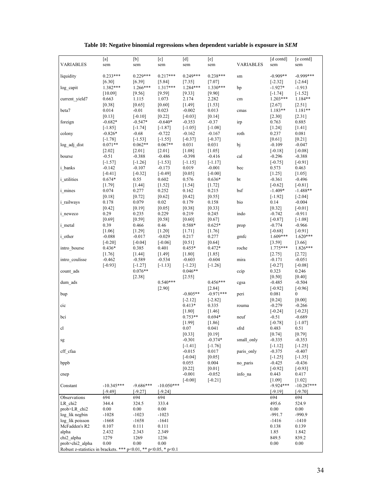|                                                                         | [a]                       | [b]                      | [c]                       | [d]                   | [e]                   |                  | [d contd]                | $[$ e contd $]$           |  |  |
|-------------------------------------------------------------------------|---------------------------|--------------------------|---------------------------|-----------------------|-----------------------|------------------|--------------------------|---------------------------|--|--|
| VARIABLES                                                               | sem                       | sem                      | sem                       | sem                   | sem                   | <b>VARIABLES</b> | sem                      | sem                       |  |  |
| liquidity                                                               | $0.233***$                | $0.229***$               | $0.217***$                | $0.249***$            | $0.238***$            | sm               | $-0.909**$               | $-0.999***$               |  |  |
|                                                                         | [6.30]                    | [6.39]                   | [5.84]                    | [7.35]                | $[7.07]$              |                  | $[-2.32]$                | $[-2.64]$                 |  |  |
| log capit                                                               | $1.382***$                | $1.266***$               | $1.317***$                | $1.284***$            | $1.330***$            | bp               | $-1.927*$                | $-1.913$                  |  |  |
|                                                                         | [10.09]                   | [9.56]                   | [9.59]                    | [9.33]                | [9.90]                |                  | $[-1.74]$                | $[-1.52]$                 |  |  |
| current_yield7                                                          | 0.663<br>[0.38]           | 1.115                    | 1.073                     | 2.174                 | 2.282                 | cm               | $1.203***$<br>[2.67]     | $1.184**$                 |  |  |
| beta7                                                                   | 0.014                     | [0.65]<br>$-0.01$        | [0.60]<br>0.023           | $[1.49]$<br>$-0.002$  | [1.53]<br>0.013       | cmas             | $1.183**$                | $[2.51]$<br>$1.181**$     |  |  |
|                                                                         | [0.13]                    | $[-0.10]$                | [0.22]                    | $[-0.03]$             | [0.14]                |                  | $[2.30]$                 | $[2.31]$                  |  |  |
| foreign                                                                 | $-0.682*$                 | $-0.547*$                | $-0.640*$                 | $-0.353$              | $-0.37$               | irp              | 0.763                    | 0.885                     |  |  |
|                                                                         | $[-1.85]$                 | $[-1.74]$                | $[-1.87]$                 | $[-1.05]$             | $[-1.08]$             |                  | [1.24]                   | [1.41]                    |  |  |
| colony                                                                  | $-0.826*$<br>$[-1.78]$    | $-0.68$<br>$[-1.53]$     | $-0.722$<br>$[-1.55]$     | $-0.162$<br>$[-0.37]$ | $-0.167$<br>$[-0.37]$ | roth             | 0.237<br>[0.61]          | 0.081<br>$[0.21]$         |  |  |
| log adj dist                                                            | $0.071**$                 | $0.062**$                | $0.067**$                 | 0.031                 | 0.031                 | bj               | $-0.109$                 | $-0.047$                  |  |  |
|                                                                         | $[2.02]$                  | $[2.01]$                 | $[2.01]$                  | $[1.08]$              | [1.05]                |                  | $[-0.18]$                | $[-0.08]$                 |  |  |
| bourse                                                                  | $-0.51$                   | $-0.388$                 | $-0.486$                  | $-0.398$              | $-0.416$              | cal              | $-0.296$                 | $-0.388$                  |  |  |
|                                                                         | $[-1.57]$                 | $[-1.26]$                | $[-1.53]$                 | $[-1.15]$             | $[-1.17]$             |                  | $[-0.75]$                | $[-0.91]$                 |  |  |
| i banks                                                                 | $-0.142$                  | $-0.107$                 | $-0.173$<br>$[-0.49]$     | 0.019                 | $-0.001$<br>$[-0.00]$ | bec              | 0.573<br>$[1.25]$        | 0.463                     |  |  |
| <i>i</i> utilities                                                      | $[-0.41]$<br>$0.674*$     | $[-0.32]$<br>0.55        | 0.602                     | [0.05]<br>0.576       | $0.636*$              | bt               | $-0.361$                 | $[1.05]$<br>$-0.496$      |  |  |
|                                                                         | [1.79]                    | [1.44]                   | $[1.52]$                  | [1.54]                | [1.72]                |                  | $[-0.62]$                | $[-0.81]$                 |  |  |
| <i>i</i> mines                                                          | 0.074                     | 0.277                    | 0.252                     | 0.162                 | 0.215                 | bsf              | $-1.409*$                | $-1.488**$                |  |  |
|                                                                         | [0.18]                    | [0.72]                   | [0.62]                    | $[0.42]$              | [0.55]                |                  | $[-1.92]$                | $[-2.04]$                 |  |  |
| <i>i</i> railways                                                       | 0.178                     | 0.079                    | 0.02                      | 0.179                 | 0.158                 | bio              | 0.14                     | $-0.004$                  |  |  |
| <i>i</i> neweco                                                         | $[0.42]$<br>0.29          | [0.19]<br>0.235          | [0.05]<br>0.229           | [0.38]<br>0.219       | [0.33]<br>0.245       | indo             | [0.32]<br>$-0.742$       | $[-0.01]$<br>$-0.911$     |  |  |
|                                                                         | [0.69]                    | [0.59]                   | [0.58]                    | [0.60]                | [0.67]                |                  | $[-0.87]$                | $[-1.08]$                 |  |  |
| <i>i</i> metal                                                          | 0.39                      | 0.466                    | 0.46                      | 0.588*                | $0.625*$              | prop             | $-0.774$                 | $-0.966$                  |  |  |
|                                                                         | [1.06]                    | $[1.29]$                 | [1.20]                    | [1.71]                | [1.76]                |                  | $[-0.68]$                | $[-0.91]$                 |  |  |
| <i>i</i> other                                                          | $-0.088$                  | $-0.017$                 | $-0.029$                  | 0.217                 | 0.277                 | gmfc             | $1.609***$               | $1.620***$                |  |  |
| intro bourse                                                            | $[-0.20]$<br>$0.436*$     | $[-0.04]$<br>0.385       | $[-0.06]$<br>0.401        | [0.51]<br>$0.455*$    | [0.64]<br>$0.472*$    | roche            | [3.59]<br>$1.775***$     | $[3.66]$<br>$1.826***$    |  |  |
|                                                                         | [1.76]                    | [1.44]                   | [1.49]                    | $[1.80]$              | [1.85]                |                  | [2.75]                   | $[2.72]$                  |  |  |
| intro coulisse                                                          | $-0.462$                  | $-0.589$                 | $-0.534$                  | $-0.603$              | $-0.604$              | mira             | $-0.171$                 | $-0.051$                  |  |  |
|                                                                         | $[-0.93]$                 | $[-1.27]$                | $[-1.13]$                 | $[-1.23]$             | $[-1.26]$             |                  | $[-0.27]$                | $[-0.08]$                 |  |  |
| count ads                                                               |                           | $0.076**$                |                           | $0.046**$             |                       | ccip             | 0.323                    | 0.246                     |  |  |
|                                                                         |                           | $[2.38]$                 | $0.540***$                | [2.55]                | $0.456***$            |                  | [0.50]<br>$-0.485$       | [0.40]<br>$-0.504$        |  |  |
| dum ads                                                                 |                           |                          | [2.90]                    |                       | [2.84]                | cgsa             | $[-0.92]$                | $[-0.96]$                 |  |  |
| bup                                                                     |                           |                          |                           | $-0.805**$            | $-0.971***$           | peri             | 0.081                    | $\mathbf{0}$              |  |  |
|                                                                         |                           |                          |                           | $[-2.12]$             | $[-2.82]$             |                  | [0.24]                   | [0.00]                    |  |  |
| cic                                                                     |                           |                          |                           | $0.413*$              | 0.335                 | rouma            | $-0.279$                 | $-0.266$                  |  |  |
|                                                                         |                           |                          |                           | $[1.80]$              | [1.46]                |                  | $[-0.24]$                | $[-0.23]$                 |  |  |
| bci                                                                     |                           |                          |                           | $0.753**$<br>[1.99]   | $0.694*$<br>$[1.86]$  | neuf             | $-0.51$<br>$[-0.78]$     | $-0.689$<br>$[-1.07]$     |  |  |
| cl                                                                      |                           |                          |                           | 0.07                  | 0.041                 | sfrd             | 0.483                    | 0.51                      |  |  |
|                                                                         |                           |                          |                           | $[0.33]$              | $[0.19]$              |                  | [0.74]                   | $[0.79]$                  |  |  |
| sg                                                                      |                           |                          |                           | $-0.301$              | $-0.374*$             | small only       | $-0.335$                 | $-0.353$                  |  |  |
|                                                                         |                           |                          |                           | $[-1.41]$             | $[-1.76]$             |                  | $[-1.12]$                | $[-1.25]$                 |  |  |
| cff cfaa                                                                |                           |                          |                           | $-0.015$<br>$[-0.04]$ | 0.017<br>[0.05]       | paris only       | $-0.375$<br>$[-1.25]$    | $-0.407$<br>$[-1.35]$     |  |  |
| bppb                                                                    |                           |                          |                           | 0.055                 | 0.004                 | no paris         | $-0.425$                 | $-0.436$                  |  |  |
|                                                                         |                           |                          |                           | $[0.22]$              | [0.01]                |                  | $[-0.92]$                | $[-0.93]$                 |  |  |
| cnep                                                                    |                           |                          |                           | $-0.001$              | $-0.052$              | info na          | 0.443                    | 0.417                     |  |  |
|                                                                         |                           |                          |                           | $[-0.00]$             | $[-0.21]$             |                  | [1.09]                   | $[1.02]$                  |  |  |
| Constant                                                                | $-10.345***$<br>$[-9.49]$ | $-9.686***$<br>$[-9.27]$ | $-10.050***$<br>$[-9.24]$ |                       |                       |                  | $-9.924***$<br>$[-9.19]$ | $-10.287***$<br>$[-9.70]$ |  |  |
| Observations                                                            | 694                       | 694                      | 694                       |                       |                       |                  | 694                      | 694                       |  |  |
| LR chi2                                                                 | 344.4                     | 324.5                    | 333.4                     |                       |                       |                  | 495.6                    | 524.9                     |  |  |
| prob>LR chi2                                                            | $0.00\,$                  | 0.00                     | 0.00                      |                       |                       |                  | $0.00\,$                 | 0.00                      |  |  |
| log lik negbin                                                          | $-1028$                   | $-1023$                  | $-1023$                   |                       |                       |                  | $-991.7$                 | $-990.9$                  |  |  |
| log lik poisson                                                         | $-1668$                   | $-1658$                  | $-1641$                   |                       |                       |                  | $-1416$                  | $-1410$                   |  |  |
| McFadden's R2<br>alpha                                                  | 0.107<br>2.432            | 0.111<br>2.343           | 0.111<br>2.349            |                       |                       |                  | 0.138<br>1.85            | 0.139<br>1.842            |  |  |
| chi <sub>2</sub> alpha                                                  | 1279                      | 1269                     | 1236                      |                       |                       |                  | 849.5                    | 839.2                     |  |  |
| prob>chi2 alpha                                                         | 0.00                      | 0.00                     | 0.00                      |                       |                       |                  | 0.00                     | 0.00                      |  |  |
| Robust z-statistics in brackets. *** $p<0.01$ , ** $p<0.05$ , * $p<0.1$ |                           |                          |                           |                       |                       |                  |                          |                           |  |  |

**Table 10: Negative binomial regressions when dependent variable is exposure in** *SEM*